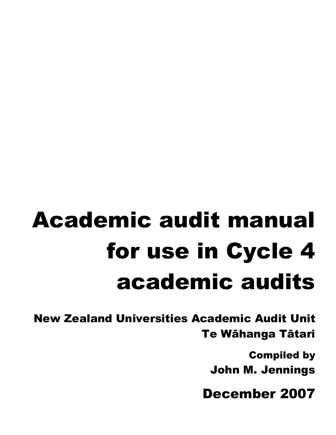# Academic audit manual for use in Cycle 4 academic audits

New Zealand Universities Academic Audit Unit Te Wāhanga Tātari

> Compiled by John M. Jennings

December 2007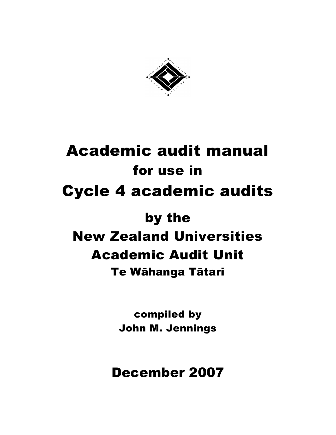

## Academic audit manual for use in Cycle 4 academic audits by the New Zealand Universities

## Academic Audit Unit

## Te Wāhanga Tātari

compiled by John M. Jennings

December 2007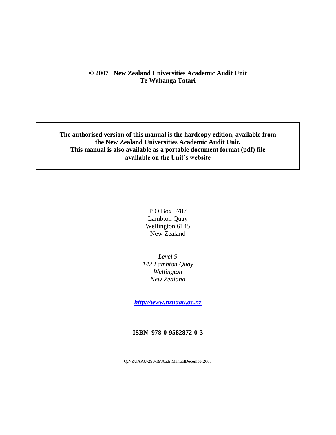#### **© 2007 New Zealand Universities Academic Audit Unit Te Wāhanga Tātari**

#### **The authorised version of this manual is the hardcopy edition, available from the New Zealand Universities Academic Audit Unit. This manual is also available as a portable document format (pdf) file available on the Unit's website**

P O Box 5787 Lambton Quay Wellington 6145 New Zealand

*Level 9 142 Lambton Quay Wellington New Zealand*

*[http://www.nzuaau.ac.nz](http://www.nzuaau.ac.nz/)*

#### **ISBN 978-0-9582872-0-3**

Q:NZUAAU\290\19\AuditManualDecember2007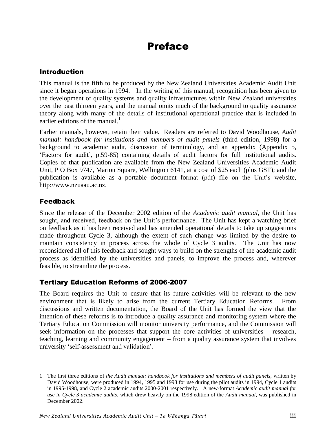## Preface

#### Introduction

This manual is the fifth to be produced by the New Zealand Universities Academic Audit Unit since it began operations in 1994. In the writing of this manual, recognition has been given to the development of quality systems and quality infrastructures within New Zealand universities over the past thirteen years, and the manual omits much of the background to quality assurance theory along with many of the details of institutional operational practice that is included in earlier editions of the manual.<sup>1</sup>

Earlier manuals, however, retain their value. Readers are referred to David Woodhouse, *Audit manual: handbook for institutions and members of audit panels* (third edition, 1998) for a background to academic audit, discussion of terminology, and an appendix (Appendix 5, 'Factors for audit', p.59-85) containing details of audit factors for full institutional audits. Copies of that publication are available from the New Zealand Universities Academic Audit Unit, P O Box 9747, Marion Square, Wellington 6141, at a cost of \$25 each (plus GST); and the publication is available as a portable document format (pdf) file on the Unit's website, http://www.nzuaau.ac.nz.

#### Feedback

Since the release of the December 2002 edition of the *Academic audit manual*, the Unit has sought, and received, feedback on the Unit's performance. The Unit has kept a watching brief on feedback as it has been received and has amended operational details to take up suggestions made throughout Cycle 3, although the extent of such change was limited by the desire to maintain consistency in process across the whole of Cycle 3 audits. The Unit has now reconsidered all of this feedback and sought ways to build on the strengths of the academic audit process as identified by the universities and panels, to improve the process and, wherever feasible, to streamline the process.

#### Tertiary Education Reforms of 2006-2007

The Board requires the Unit to ensure that its future activities will be relevant to the new environment that is likely to arise from the current Tertiary Education Reforms. From discussions and written documentation, the Board of the Unit has formed the view that the intention of these reforms is to introduce a quality assurance and monitoring system where the Tertiary Education Commission will monitor university performance, and the Commission will seek information on the processes that support the core activities of universities – research, teaching, learning and community engagement – from a quality assurance system that involves university 'self-assessment and validation'.

<sup>1</sup> The first three editions of *the Audit manual: handbook for institutions and members of audit panels,* written by David Woodhouse, were produced in 1994, 1995 and 1998 for use during the pilot audits in 1994, Cycle 1 audits in 1995-1998, and Cycle 2 academic audits 2000-2001 respectively. A new-format *Academic audit manual for use in Cycle 3 academic audits*, which drew heavily on the 1998 edition of the *Audit manual,* was published in December 2002.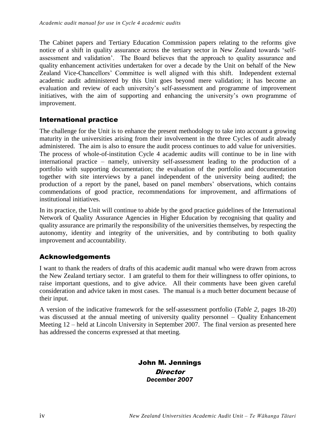The Cabinet papers and Tertiary Education Commission papers relating to the reforms give notice of a shift in quality assurance across the tertiary sector in New Zealand towards 'selfassessment and validation'. The Board believes that the approach to quality assurance and quality enhancement activities undertaken for over a decade by the Unit on behalf of the New Zealand Vice-Chancellors' Committee is well aligned with this shift. Independent external academic audit administered by this Unit goes beyond mere validation; it has become an evaluation and review of each university's self-assessment and programme of improvement initiatives, with the aim of supporting and enhancing the university's own programme of improvement.

#### International practice

The challenge for the Unit is to enhance the present methodology to take into account a growing maturity in the universities arising from their involvement in the three Cycles of audit already administered. The aim is also to ensure the audit process continues to add value for universities. The process of whole-of-institution Cycle 4 academic audits will continue to be in line with international practice – namely, university self-assessment leading to the production of a portfolio with supporting documentation; the evaluation of the portfolio and documentation together with site interviews by a panel independent of the university being audited; the production of a report by the panel, based on panel members' observations, which contains commendations of good practice, recommendations for improvement, and affirmations of institutional initiatives.

In its practice, the Unit will continue to abide by the good practice guidelines of the International Network of Quality Assurance Agencies in Higher Education by recognising that quality and quality assurance are primarily the responsibility of the universities themselves, by respecting the autonomy, identity and integrity of the universities, and by contributing to both quality improvement and accountability.

#### Acknowledgements

I want to thank the readers of drafts of this academic audit manual who were drawn from across the New Zealand tertiary sector. I am grateful to them for their willingness to offer opinions, to raise important questions, and to give advice. All their comments have been given careful consideration and advice taken in most cases. The manual is a much better document because of their input.

A version of the indicative framework for the self-assessment portfolio (*Table 2*, pages 18-20) was discussed at the annual meeting of university quality personnel – Quality Enhancement Meeting 12 – held at Lincoln University in September 2007. The final version as presented here has addressed the concerns expressed at that meeting.

#### John M. Jennings **Director** *December 2007*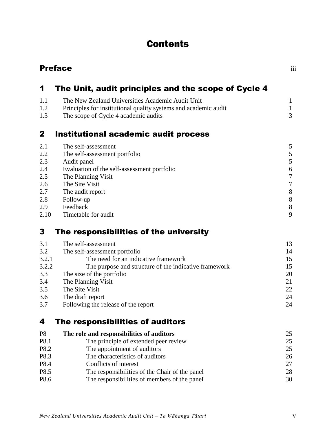## **Contents**

|                                                                     | <b>Preface</b>                                                                                                                                                                                                                                                                        |                                                                                          |  |
|---------------------------------------------------------------------|---------------------------------------------------------------------------------------------------------------------------------------------------------------------------------------------------------------------------------------------------------------------------------------|------------------------------------------------------------------------------------------|--|
| 1                                                                   | The Unit, audit principles and the scope of Cycle 4                                                                                                                                                                                                                                   |                                                                                          |  |
| 1.1<br>1.2<br>1.3                                                   | The New Zealand Universities Academic Audit Unit<br>Principles for institutional quality systems and academic audit<br>The scope of Cycle 4 academic audits                                                                                                                           | 1<br>$\mathbf{1}$<br>3                                                                   |  |
| $\mathbf{2}$                                                        | Institutional academic audit process                                                                                                                                                                                                                                                  |                                                                                          |  |
| 2.1<br>2.2<br>2.3<br>2.4<br>2.5<br>2.6<br>2.7<br>2.8<br>2.9<br>2.10 | The self-assessment<br>The self-assessment portfolio<br>Audit panel<br>Evaluation of the self-assessment portfolio<br>The Planning Visit<br>The Site Visit<br>The audit report<br>Follow-up<br>Feedback<br>Timetable for audit                                                        | 5<br>5<br>5<br>6<br>$\boldsymbol{7}$<br>$\boldsymbol{7}$<br>$8\,$<br>$8\,$<br>$8\,$<br>9 |  |
| 3                                                                   | The responsibilities of the university                                                                                                                                                                                                                                                |                                                                                          |  |
| 3.1<br>3.2<br>3.2.1<br>3.2.2<br>3.3<br>3.4<br>3.5<br>3.6<br>3.7     | The self-assessment<br>The self-assessment portfolio<br>The need for an indicative framework<br>The purpose and structure of the indicative framework<br>The size of the portfolio<br>The Planning Visit<br>The Site Visit<br>The draft report<br>Following the release of the report | 13<br>14<br>15<br>15<br>20<br>21<br>22<br>24<br>24                                       |  |
| 4                                                                   | The responsibilities of auditors                                                                                                                                                                                                                                                      |                                                                                          |  |
| P <sub>8</sub><br>P8.1<br>P8.2<br>P8.3<br>P8.4<br>P8.5<br>P8.6      | The role and responsibilities of auditors<br>The principle of extended peer review<br>The appointment of auditors<br>The characteristics of auditors<br>Conflicts of interest<br>The responsibilities of the Chair of the panel<br>The responsibilities of members of the panel       | 25<br>25<br>25<br>26<br>27<br>28<br>30                                                   |  |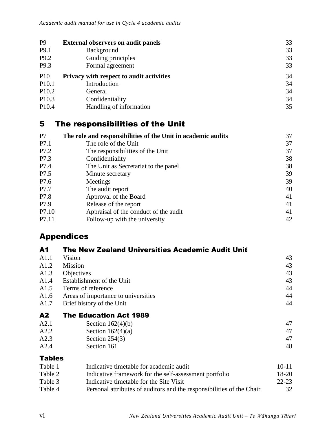| P <sub>9</sub>    | <b>External observers on audit panels</b> | 33 |
|-------------------|-------------------------------------------|----|
| P <sub>9.1</sub>  | Background                                | 33 |
| P <sub>9.2</sub>  | Guiding principles                        | 33 |
| P9.3              | Formal agreement                          | 33 |
| <b>P10</b>        | Privacy with respect to audit activities  | 34 |
| P <sub>10.1</sub> | Introduction                              | 34 |
| P <sub>10.2</sub> | General                                   | 34 |
| P <sub>10.3</sub> | Confidentiality                           | 34 |
| P <sub>10.4</sub> | Handling of information                   | 35 |

## 5 The responsibilities of the Unit

| P7    | The role and responsibilities of the Unit in academic audits | 37 |
|-------|--------------------------------------------------------------|----|
| P7.1  | The role of the Unit                                         | 37 |
| P7.2  | The responsibilities of the Unit                             | 37 |
| P7.3  | Confidentiality                                              | 38 |
| P7.4  | The Unit as Secretariat to the panel                         | 38 |
| P7.5  | Minute secretary                                             | 39 |
| P7.6  | Meetings                                                     | 39 |
| P7.7  | The audit report                                             | 40 |
| P7.8  | Approval of the Board                                        | 41 |
| P7.9  | Release of the report                                        | 41 |
| P7.10 | Appraisal of the conduct of the audit                        | 41 |
| P7.11 | Follow-up with the university                                | 42 |

### Appendices

| <b>A1</b>     | The New Zealand Universities Academic Audit Unit |    |  |  |
|---------------|--------------------------------------------------|----|--|--|
| A1.1          | Vision                                           | 43 |  |  |
| A1.2          | Mission                                          |    |  |  |
| A1.3          | Objectives                                       | 43 |  |  |
| A1.4          | Establishment of the Unit                        | 43 |  |  |
| A1.5          | Terms of reference                               | 44 |  |  |
| A1.6          | Areas of importance to universities              |    |  |  |
| A1.7          | Brief history of the Unit                        | 44 |  |  |
| <b>A2</b>     | <b>The Education Act 1989</b>                    |    |  |  |
| A2.1          | Section $162(4)(b)$                              | 47 |  |  |
| A2.2          | Section $162(4)(a)$                              | 47 |  |  |
| A2.3          | Section $254(3)$                                 | 47 |  |  |
| A2.4          | Section 161                                      | 48 |  |  |
| <b>Tables</b> |                                                  |    |  |  |

| Table 1 | Indicative timetable for academic audit                               | $10 - 11$ |
|---------|-----------------------------------------------------------------------|-----------|
| Table 2 | Indicative framework for the self-assessment portfolio                | 18-20     |
| Table 3 | Indicative timetable for the Site Visit                               | 22-23     |
| Table 4 | Personal attributes of auditors and the responsibilities of the Chair | 32        |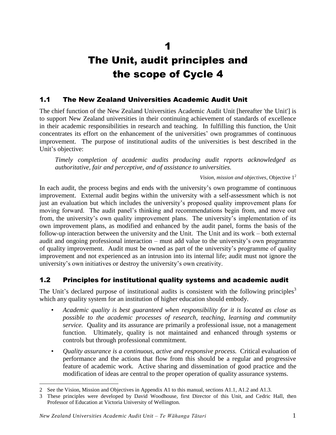1

## The Unit, audit principles and the scope of Cycle 4

#### 1.1 The New Zealand Universities Academic Audit Unit

The chief function of the New Zealand Universities Academic Audit Unit [hereafter 'the Unit'] is to support New Zealand universities in their continuing achievement of standards of excellence in their academic responsibilities in research and teaching. In fulfilling this function, the Unit concentrates its effort on the enhancement of the universities' own programmes of continuous improvement. The purpose of institutional audits of the universities is best described in the Unit's objective:

*Timely completion of academic audits producing audit reports acknowledged as authoritative, fair and perceptive, and of assistance to universities.* 

*Vision, mission and objectives*, Objective 1<sup>2</sup>

In each audit, the process begins and ends with the university's own programme of continuous improvement. External audit begins within the university with a self-assessment which is not just an evaluation but which includes the university's proposed quality improvement plans for moving forward. The audit panel's thinking and recommendations begin from, and move out from, the university's own quality improvement plans. The university's implementation of its own improvement plans, as modified and enhanced by the audit panel, forms the basis of the follow-up interaction between the university and the Unit. The Unit and its work – both external audit and ongoing professional interaction – must add value to the university's own programme of quality improvement. Audit must be owned as part of the university's programme of quality improvement and not experienced as an intrusion into its internal life; audit must not ignore the university's own initiatives or destroy the university's own creativity.

#### 1.2 Principles for institutional quality systems and academic audit

The Unit's declared purpose of institutional audits is consistent with the following principles<sup>3</sup> which any quality system for an institution of higher education should embody.

- *Academic quality is best guaranteed when responsibility for it is located as close as possible to the academic processes of research, teaching, learning and community service.* Quality and its assurance are primarily a professional issue, not a management function. Ultimately, quality is not maintained and enhanced through systems or controls but through professional commitment.
- *Quality assurance is a continuous, active and responsive process.* Critical evaluation of performance and the actions that flow from this should be a regular and progressive feature of academic work. Active sharing and dissemination of good practice and the modification of ideas are central to the proper operation of quality assurance systems.

 $\overline{a}$ 2 See the Vision, Mission and Objectives in Appendix A1 to this manual, sections A1.1, A1.2 and A1.3.

<sup>3</sup> These principles were developed by David Woodhouse, first Director of this Unit, and Cedric Hall, then Professor of Education at Victoria University of Wellington.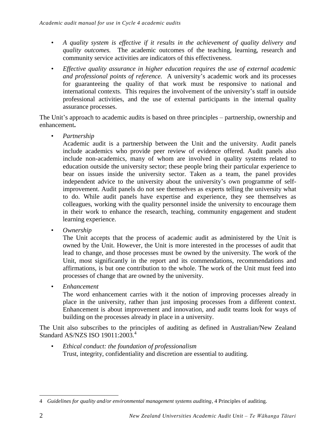- *A quality system is effective if it results in the achievement of quality delivery and quality outcomes.* The academic outcomes of the teaching, learning, research and community service activities are indicators of this effectiveness.
- *Effective quality assurance in higher education requires the use of external academic and professional points of reference.* A university's academic work and its processes for guaranteeing the quality of that work must be responsive to national and international contexts. This requires the involvement of the university's staff in outside professional activities, and the use of external participants in the internal quality assurance processes.

The Unit's approach to academic audits is based on three principles – partnership, ownership and enhancement**.**

• *Partnership*

Academic audit is a partnership between the Unit and the university. Audit panels include academics who provide peer review of evidence offered. Audit panels also include non-academics, many of whom are involved in quality systems related to education outside the university sector; these people bring their particular experience to bear on issues inside the university sector. Taken as a team, the panel provides independent advice to the university about the university's own programme of selfimprovement. Audit panels do not see themselves as experts telling the university what to do. While audit panels have expertise and experience, they see themselves as colleagues, working with the quality personnel inside the university to encourage them in their work to enhance the research, teaching, community engagement and student learning experience.

• *Ownership*

The Unit accepts that the process of academic audit as administered by the Unit is owned by the Unit. However, the Unit is more interested in the processes of audit that lead to change, and those processes must be owned by the university. The work of the Unit, most significantly in the report and its commendations, recommendations and affirmations, is but one contribution to the whole. The work of the Unit must feed into processes of change that are owned by the university.

• *Enhancement*

The word enhancement carries with it the notion of improving processes already in place in the university, rather than just imposing processes from a different context. Enhancement is about improvement and innovation, and audit teams look for ways of building on the processes already in place in a university.

The Unit also subscribes to the principles of auditing as defined in Australian/New Zealand Standard AS/NZS ISO 19011:2003<sup>4</sup>

• *Ethical conduct: the foundation of professionalism* Trust, integrity, confidentiality and discretion are essential to auditing.

 4 *Guidelines for quality and/or environmental management systems auditing,* 4 Principles of auditing.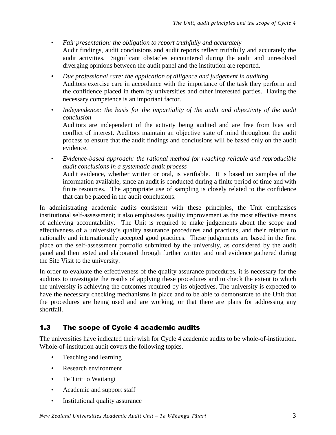- *Fair presentation: the obligation to report truthfully and accurately* Audit findings, audit conclusions and audit reports reflect truthfully and accurately the audit activities. Significant obstacles encountered during the audit and unresolved diverging opinions between the audit panel and the institution are reported.
- *Due professional care: the application of diligence and judgement in auditing* Auditors exercise care in accordance with the importance of the task they perform and the confidence placed in them by universities and other interested parties. Having the necessary competence is an important factor.
- *Independence: the basis for the impartiality of the audit and objectivity of the audit conclusion* Auditors are independent of the activity being audited and are free from bias and conflict of interest. Auditors maintain an objective state of mind throughout the audit process to ensure that the audit findings and conclusions will be based only on the audit evidence.
- *Evidence-based approach: the rational method for reaching reliable and reproducible audit conclusions in a systematic audit process* Audit evidence, whether written or oral, is verifiable. It is based on samples of the information available, since an audit is conducted during a finite period of time and with finite resources. The appropriate use of sampling is closely related to the confidence that can be placed in the audit conclusions.

In administrating academic audits consistent with these principles, the Unit emphasises institutional self-assessment; it also emphasises quality improvement as the most effective means of achieving accountability. The Unit is required to make judgements about the scope and effectiveness of a university's quality assurance procedures and practices, and their relation to nationally and internationally accepted good practices. These judgements are based in the first place on the self-assessment portfolio submitted by the university, as considered by the audit panel and then tested and elaborated through further written and oral evidence gathered during the Site Visit to the university.

In order to evaluate the effectiveness of the quality assurance procedures, it is necessary for the auditors to investigate the results of applying these procedures and to check the extent to which the university is achieving the outcomes required by its objectives. The university is expected to have the necessary checking mechanisms in place and to be able to demonstrate to the Unit that the procedures are being used and are working, or that there are plans for addressing any shortfall.

#### 1.3 The scope of Cycle 4 academic audits

The universities have indicated their wish for Cycle 4 academic audits to be whole-of-institution. Whole-of-institution audit covers the following topics.

- Teaching and learning
- Research environment
- Te Tiriti o Waitangi
- Academic and support staff
- Institutional quality assurance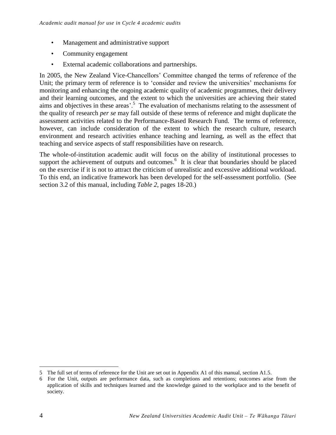- Management and administrative support
- Community engagement
- External academic collaborations and partnerships.

In 2005, the New Zealand Vice-Chancellors' Committee changed the terms of reference of the Unit; the primary term of reference is to 'consider and review the universities' mechanisms for monitoring and enhancing the ongoing academic quality of academic programmes, their delivery and their learning outcomes, and the extent to which the universities are achieving their stated aims and objectives in these areas'.<sup>5</sup> The evaluation of mechanisms relating to the assessment of the quality of research *per se* may fall outside of these terms of reference and might duplicate the assessment activities related to the Performance-Based Research Fund. The terms of reference, however, can include consideration of the extent to which the research culture, research environment and research activities enhance teaching and learning, as well as the effect that teaching and service aspects of staff responsibilities have on research.

The whole-of-institution academic audit will focus on the ability of institutional processes to support the achievement of outputs and outcomes.<sup>6</sup> It is clear that boundaries should be placed on the exercise if it is not to attract the criticism of unrealistic and excessive additional workload. To this end, an indicative framework has been developed for the self-assessment portfolio. (See section 3.2 of this manual, including *Table 2*, pages 18-20.)

<sup>5</sup> The full set of terms of reference for the Unit are set out in Appendix A1 of this manual, section A1.5.

<sup>6</sup> For the Unit, outputs are performance data, such as completions and retentions; outcomes arise from the application of skills and techniques learned and the knowledge gained to the workplace and to the benefit of society.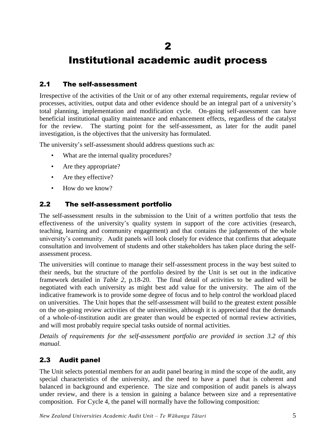## Institutional academic audit process

#### 2.1 The self-assessment

Irrespective of the activities of the Unit or of any other external requirements, regular review of processes, activities, output data and other evidence should be an integral part of a university's total planning, implementation and modification cycle. On-going self-assessment can have beneficial institutional quality maintenance and enhancement effects, regardless of the catalyst for the review. The starting point for the self-assessment, as later for the audit panel investigation, is the objectives that the university has formulated.

The university's self-assessment should address questions such as:

- What are the internal quality procedures?
- Are they appropriate?
- Are they effective?
- How do we know?

#### 2.2 The self-assessment portfolio

The self-assessment results in the submission to the Unit of a written portfolio that tests the effectiveness of the university's quality system in support of the core activities (research, teaching, learning and community engagement) and that contains the judgements of the whole university's community. Audit panels will look closely for evidence that confirms that adequate consultation and involvement of students and other stakeholders has taken place during the selfassessment process.

The universities will continue to manage their self-assessment process in the way best suited to their needs, but the structure of the portfolio desired by the Unit is set out in the indicative framework detailed in *Table 2*, p.18-20. The final detail of activities to be audited will be negotiated with each university as might best add value for the university. The aim of the indicative framework is to provide some degree of focus and to help control the workload placed on universities. The Unit hopes that the self-assessment will build to the greatest extent possible on the on-going review activities of the universities, although it is appreciated that the demands of a whole-of-institution audit are greater than would be expected of normal review activities, and will most probably require special tasks outside of normal activities.

*Details of requirements for the self-assessment portfolio are provided in section 3.2 of this manual.*

#### 2.3 Audit panel

The Unit selects potential members for an audit panel bearing in mind the scope of the audit, any special characteristics of the university, and the need to have a panel that is coherent and balanced in background and experience. The size and composition of audit panels is always under review, and there is a tension in gaining a balance between size and a representative composition. For Cycle 4, the panel will normally have the following composition: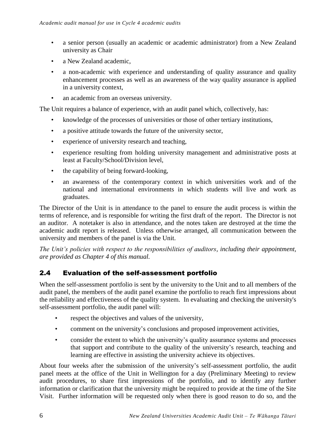- a senior person (usually an academic or academic administrator) from a New Zealand university as Chair
- a New Zealand academic.
- a non-academic with experience and understanding of quality assurance and quality enhancement processes as well as an awareness of the way quality assurance is applied in a university context,
- an academic from an overseas university.

The Unit requires a balance of experience, with an audit panel which, collectively, has:

- knowledge of the processes of universities or those of other tertiary institutions,
- a positive attitude towards the future of the university sector,
- experience of university research and teaching,
- experience resulting from holding university management and administrative posts at least at Faculty/School/Division level,
- the capability of being forward-looking,
- an awareness of the contemporary context in which universities work and of the national and international environments in which students will live and work as graduates.

The Director of the Unit is in attendance to the panel to ensure the audit process is within the terms of reference, and is responsible for writing the first draft of the report. The Director is not an auditor. A notetaker is also in attendance, and the notes taken are destroyed at the time the academic audit report is released. Unless otherwise arranged, all communication between the university and members of the panel is via the Unit.

*The Unit's policies with respect to the responsibilities of auditors, including their appointment, are provided as Chapter 4 of this manual.*

#### 2.4 Evaluation of the self-assessment portfolio

When the self-assessment portfolio is sent by the university to the Unit and to all members of the audit panel, the members of the audit panel examine the portfolio to reach first impressions about the reliability and effectiveness of the quality system. In evaluating and checking the university's self-assessment portfolio, the audit panel will:

- respect the objectives and values of the university,
- comment on the university's conclusions and proposed improvement activities,
- consider the extent to which the university's quality assurance systems and processes that support and contribute to the quality of the university's research, teaching and learning are effective in assisting the university achieve its objectives.

About four weeks after the submission of the university's self-assessment portfolio, the audit panel meets at the office of the Unit in Wellington for a day (Preliminary Meeting) to review audit procedures, to share first impressions of the portfolio, and to identify any further information or clarification that the university might be required to provide at the time of the Site Visit. Further information will be requested only when there is good reason to do so, and the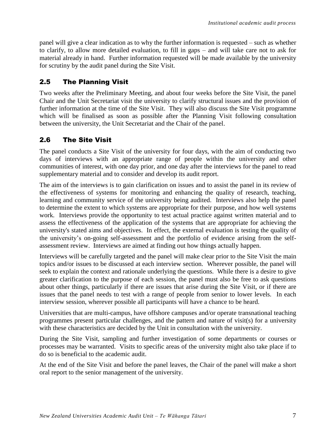panel will give a clear indication as to why the further information is requested – such as whether to clarify, to allow more detailed evaluation, to fill in gaps – and will take care not to ask for material already in hand. Further information requested will be made available by the university for scrutiny by the audit panel during the Site Visit.

#### 2.5 The Planning Visit

Two weeks after the Preliminary Meeting, and about four weeks before the Site Visit, the panel Chair and the Unit Secretariat visit the university to clarify structural issues and the provision of further information at the time of the Site Visit. They will also discuss the Site Visit programme which will be finalised as soon as possible after the Planning Visit following consultation between the university, the Unit Secretariat and the Chair of the panel.

#### 2.6 The Site Visit

The panel conducts a Site Visit of the university for four days, with the aim of conducting two days of interviews with an appropriate range of people within the university and other communities of interest, with one day prior, and one day after the interviews for the panel to read supplementary material and to consider and develop its audit report.

The aim of the interviews is to gain clarification on issues and to assist the panel in its review of the effectiveness of systems for monitoring and enhancing the quality of research, teaching, learning and community service of the university being audited. Interviews also help the panel to determine the extent to which systems are appropriate for their purpose, and how well systems work. Interviews provide the opportunity to test actual practice against written material and to assess the effectiveness of the application of the systems that are appropriate for achieving the university's stated aims and objectives. In effect, the external evaluation is testing the quality of the university's on-going self-assessment and the portfolio of evidence arising from the selfassessment review. Interviews are aimed at finding out how things actually happen.

Interviews will be carefully targeted and the panel will make clear prior to the Site Visit the main topics and/or issues to be discussed at each interview section. Wherever possible, the panel will seek to explain the context and rationale underlying the questions. While there is a desire to give greater clarification to the purpose of each session, the panel must also be free to ask questions about other things, particularly if there are issues that arise during the Site Visit, or if there are issues that the panel needs to test with a range of people from senior to lower levels. In each interview session, wherever possible all participants will have a chance to be heard.

Universities that are multi-campus, have offshore campuses and/or operate transnational teaching programmes present particular challenges, and the pattern and nature of visit(s) for a university with these characteristics are decided by the Unit in consultation with the university.

During the Site Visit, sampling and further investigation of some departments or courses or processes may be warranted. Visits to specific areas of the university might also take place if to do so is beneficial to the academic audit.

At the end of the Site Visit and before the panel leaves, the Chair of the panel will make a short oral report to the senior management of the university.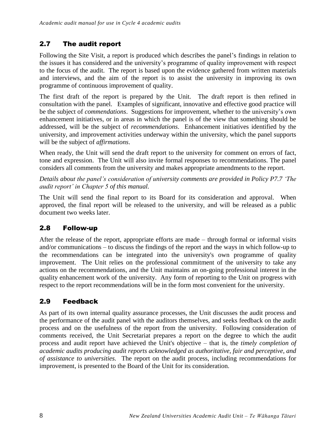#### 2.7 The audit report

Following the Site Visit, a report is produced which describes the panel's findings in relation to the issues it has considered and the university's programme of quality improvement with respect to the focus of the audit. The report is based upon the evidence gathered from written materials and interviews, and the aim of the report is to assist the university in improving its own programme of continuous improvement of quality.

The first draft of the report is prepared by the Unit. The draft report is then refined in consultation with the panel. Examples of significant, innovative and effective good practice will be the subject of *commendations*. Suggestions for improvement, whether to the university's own enhancement initiatives, or in areas in which the panel is of the view that something should be addressed, will be the subject of *recommendations*. Enhancement initiatives identified by the university, and improvement activities underway within the university, which the panel supports will be the subject of *affirmations*.

When ready, the Unit will send the draft report to the university for comment on errors of fact, tone and expression. The Unit will also invite formal responses to recommendations. The panel considers all comments from the university and makes appropriate amendments to the report.

*Details about the panel's consideration of university comments are provided in Policy P7.7 'The audit report' in Chapter 5 of this manual.*

The Unit will send the final report to its Board for its consideration and approval. When approved, the final report will be released to the university, and will be released as a public document two weeks later.

#### 2.8 Follow-up

After the release of the report, appropriate efforts are made – through formal or informal visits and/or communications – to discuss the findings of the report and the ways in which follow-up to the recommendations can be integrated into the university's own programme of quality improvement. The Unit relies on the professional commitment of the university to take any actions on the recommendations, and the Unit maintains an on-going professional interest in the quality enhancement work of the university. Any form of reporting to the Unit on progress with respect to the report recommendations will be in the form most convenient for the university.

#### 2.9 Feedback

As part of its own internal quality assurance processes, the Unit discusses the audit process and the performance of the audit panel with the auditors themselves, and seeks feedback on the audit process and on the usefulness of the report from the university. Following consideration of comments received, the Unit Secretariat prepares a report on the degree to which the audit process and audit report have achieved the Unit's objective – that is, the *timely completion of academic audits producing audit reports acknowledged as authoritative, fair and perceptive, and of assistance to universities.* The report on the audit process, including recommendations for improvement, is presented to the Board of the Unit for its consideration.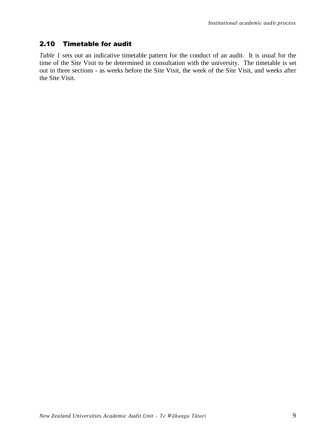#### 2.10 Timetable for audit

*Table 1* sets out an indicative timetable pattern for the conduct of an audit. It is usual for the time of the Site Visit to be determined in consultation with the university. The timetable is set out in three sections - as weeks before the Site Visit, the week of the Site Visit, and weeks after the Site Visit.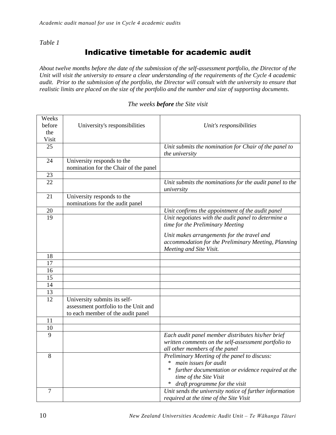*Table 1*

## Indicative timetable for academic audit

*About twelve months before the date of the submission of the self-assessment portfolio, the Director of the Unit will visit the university to ensure a clear understanding of the requirements of the Cycle 4 academic audit. Prior to the submission of the portfolio, the Director will consult with the university to ensure that realistic limits are placed on the size of the portfolio and the number and size of supporting documents.*

| Weeks           |                                       |                                                                                                                              |
|-----------------|---------------------------------------|------------------------------------------------------------------------------------------------------------------------------|
| before          | University's responsibilities         | Unit's responsibilities                                                                                                      |
| the             |                                       |                                                                                                                              |
| Visit           |                                       |                                                                                                                              |
| 25              |                                       | Unit submits the nomination for Chair of the panel to                                                                        |
|                 |                                       | the university                                                                                                               |
| 24              | University responds to the            |                                                                                                                              |
|                 | nomination for the Chair of the panel |                                                                                                                              |
| 23              |                                       |                                                                                                                              |
| 22              |                                       | Unit submits the nominations for the audit panel to the<br>university                                                        |
| 21              | University responds to the            |                                                                                                                              |
|                 | nominations for the audit panel       |                                                                                                                              |
| 20              |                                       | Unit confirms the appointment of the audit panel                                                                             |
| 19              |                                       | Unit negotiates with the audit panel to determine a<br>time for the Preliminary Meeting                                      |
|                 |                                       | Unit makes arrangements for the travel and<br>accommodation for the Preliminary Meeting, Planning<br>Meeting and Site Visit. |
| 18              |                                       |                                                                                                                              |
| 17              |                                       |                                                                                                                              |
| 16              |                                       |                                                                                                                              |
| 15              |                                       |                                                                                                                              |
| 14              |                                       |                                                                                                                              |
| $\overline{13}$ |                                       |                                                                                                                              |
| 12              | University submits its self-          |                                                                                                                              |
|                 | assessment portfolio to the Unit and  |                                                                                                                              |
|                 | to each member of the audit panel     |                                                                                                                              |
| 11              |                                       |                                                                                                                              |
| 10              |                                       |                                                                                                                              |
| 9               |                                       | Each audit panel member distributes his/her brief                                                                            |
|                 |                                       | written comments on the self-assessment portfolio to                                                                         |
|                 |                                       | all other members of the panel                                                                                               |
| 8               |                                       | Preliminary Meeting of the panel to discuss:                                                                                 |
|                 |                                       | $\ast$<br>main issues for audit                                                                                              |
|                 |                                       | further documentation or evidence required at the                                                                            |
|                 |                                       | time of the Site Visit                                                                                                       |
|                 |                                       | draft programme for the visit<br>$\ast$                                                                                      |
| $\overline{7}$  |                                       | Unit sends the university notice of further information                                                                      |
|                 |                                       | required at the time of the Site Visit                                                                                       |

| The weeks <b>before</b> the Site visit |  |  |  |  |  |
|----------------------------------------|--|--|--|--|--|
|----------------------------------------|--|--|--|--|--|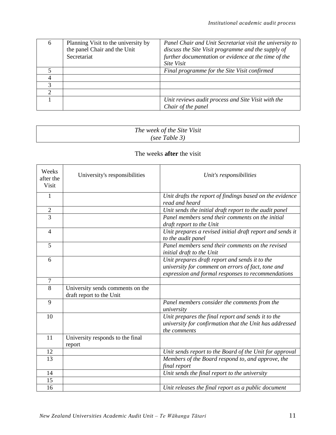| 6 | Planning Visit to the university by | Panel Chair and Unit Secretariat visit the university to |
|---|-------------------------------------|----------------------------------------------------------|
|   | the panel Chair and the Unit        | discuss the Site Visit programme and the supply of       |
|   | Secretariat                         | further documentation or evidence at the time of the     |
|   |                                     | Site Visit                                               |
|   |                                     | Final programme for the Site Visit confirmed             |
|   |                                     |                                                          |
| 3 |                                     |                                                          |
|   |                                     |                                                          |
|   |                                     | Unit reviews audit process and Site Visit with the       |
|   |                                     | Chair of the panel                                       |

| The week of the Site Visit |
|----------------------------|
| (see Table 3)              |

#### The weeks **after** the visit

| Weeks<br>after the<br>Visit | University's responsibilities                                | Unit's responsibilities                                                                                                                                    |
|-----------------------------|--------------------------------------------------------------|------------------------------------------------------------------------------------------------------------------------------------------------------------|
| $\mathbf{1}$                |                                                              | Unit drafts the report of findings based on the evidence<br>read and heard                                                                                 |
| $\sqrt{2}$                  |                                                              | Unit sends the initial draft report to the audit panel                                                                                                     |
| $\overline{3}$              |                                                              | Panel members send their comments on the initial<br>draft report to the Unit                                                                               |
| $\overline{4}$              |                                                              | Unit prepares a revised initial draft report and sends it<br>to the audit panel                                                                            |
| 5                           |                                                              | Panel members send their comments on the revised<br>initial draft to the Unit                                                                              |
| 6                           |                                                              | Unit prepares draft report and sends it to the<br>university for comment on errors of fact, tone and<br>expression and formal responses to recommendations |
| $\overline{7}$              |                                                              |                                                                                                                                                            |
| 8                           | University sends comments on the<br>draft report to the Unit |                                                                                                                                                            |
| 9                           |                                                              | Panel members consider the comments from the<br>university                                                                                                 |
| 10                          |                                                              | Unit prepares the final report and sends it to the<br>university for confirmation that the Unit has addressed<br>the comments                              |
| 11                          | University responds to the final<br>report                   |                                                                                                                                                            |
| 12                          |                                                              | Unit sends report to the Board of the Unit for approval                                                                                                    |
| 13                          |                                                              | Members of the Board respond to, and approve, the<br>final report                                                                                          |
| 14                          |                                                              | Unit sends the final report to the university                                                                                                              |
| 15                          |                                                              |                                                                                                                                                            |
| 16                          |                                                              | Unit releases the final report as a public document                                                                                                        |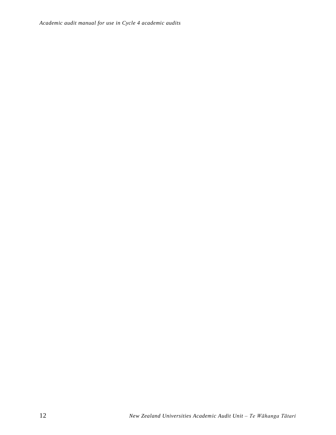*Academic audit manual for use in Cycle 4 academic audits*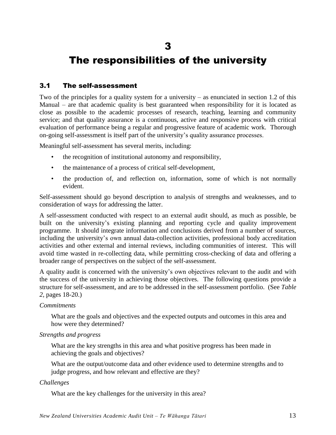## The responsibilities of the university

#### 3.1 The self-assessment

Two of the principles for a quality system for a university – as enunciated in section 1.2 of this Manual – are that academic quality is best guaranteed when responsibility for it is located as close as possible to the academic processes of research, teaching, learning and community service; and that quality assurance is a continuous, active and responsive process with critical evaluation of performance being a regular and progressive feature of academic work. Thorough on-going self-assessment is itself part of the university's quality assurance processes.

Meaningful self-assessment has several merits, including:

- the recognition of institutional autonomy and responsibility,
- the maintenance of a process of critical self-development,
- the production of, and reflection on, information, some of which is not normally evident.

Self-assessment should go beyond description to analysis of strengths and weaknesses, and to consideration of ways for addressing the latter.

A self-assessment conducted with respect to an external audit should, as much as possible, be built on the university's existing planning and reporting cycle and quality improvement programme. It should integrate information and conclusions derived from a number of sources, including the university's own annual data-collection activities, professional body accreditation activities and other external and internal reviews, including communities of interest. This will avoid time wasted in re-collecting data, while permitting cross-checking of data and offering a broader range of perspectives on the subject of the self-assessment.

A quality audit is concerned with the university's own objectives relevant to the audit and with the success of the university in achieving those objectives. The following questions provide a structure for self-assessment, and are to be addressed in the self-assessment portfolio. (See *Table 2,* pages 18-20.)

#### *Commitments*

What are the goals and objectives and the expected outputs and outcomes in this area and how were they determined?

#### *Strengths and progress*

What are the key strengths in this area and what positive progress has been made in achieving the goals and objectives?

What are the output/outcome data and other evidence used to determine strengths and to judge progress, and how relevant and effective are they?

#### *Challenges*

What are the key challenges for the university in this area?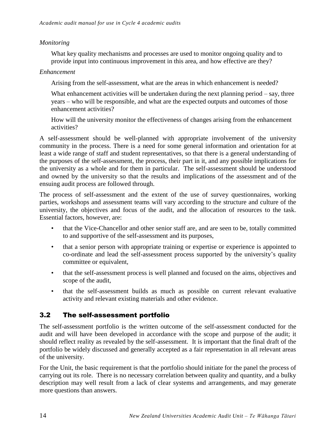#### *Monitoring*

What key quality mechanisms and processes are used to monitor ongoing quality and to provide input into continuous improvement in this area, and how effective are they?

#### *Enhancement*

Arising from the self-assessment, what are the areas in which enhancement is needed?

What enhancement activities will be undertaken during the next planning period – say, three years – who will be responsible, and what are the expected outputs and outcomes of those enhancement activities?

How will the university monitor the effectiveness of changes arising from the enhancement activities?

A self-assessment should be well-planned with appropriate involvement of the university community in the process. There is a need for some general information and orientation for at least a wide range of staff and student representatives, so that there is a general understanding of the purposes of the self-assessment, the process, their part in it, and any possible implications for the university as a whole and for them in particular. The self-assessment should be understood and owned by the university so that the results and implications of the assessment and of the ensuing audit process are followed through.

The process of self-assessment and the extent of the use of survey questionnaires, working parties, workshops and assessment teams will vary according to the structure and culture of the university, the objectives and focus of the audit, and the allocation of resources to the task. Essential factors, however, are:

- that the Vice-Chancellor and other senior staff are, and are seen to be, totally committed to and supportive of the self-assessment and its purposes,
- that a senior person with appropriate training or expertise or experience is appointed to co-ordinate and lead the self-assessment process supported by the university's quality committee or equivalent,
- that the self-assessment process is well planned and focused on the aims, objectives and scope of the audit,
- that the self-assessment builds as much as possible on current relevant evaluative activity and relevant existing materials and other evidence.

#### 3.2 The self-assessment portfolio

The self-assessment portfolio is the written outcome of the self-assessment conducted for the audit and will have been developed in accordance with the scope and purpose of the audit; it should reflect reality as revealed by the self-assessment. It is important that the final draft of the portfolio be widely discussed and generally accepted as a fair representation in all relevant areas of the university.

For the Unit, the basic requirement is that the portfolio should initiate for the panel the process of carrying out its role. There is no necessary correlation between quality and quantity, and a bulky description may well result from a lack of clear systems and arrangements, and may generate more questions than answers.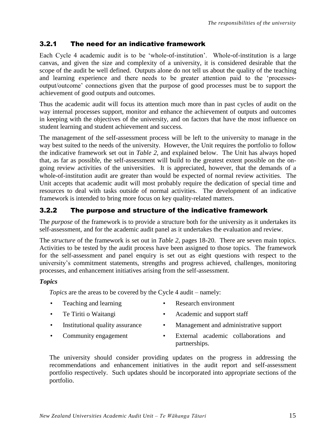#### 3.2.1 The need for an indicative framework

Each Cycle 4 academic audit is to be 'whole-of-institution'. Whole-of-institution is a large canvas, and given the size and complexity of a university, it is considered desirable that the scope of the audit be well defined. Outputs alone do not tell us about the quality of the teaching and learning experience and there needs to be greater attention paid to the 'processesoutput/outcome' connections given that the purpose of good processes must be to support the achievement of good outputs and outcomes.

Thus the academic audit will focus its attention much more than in past cycles of audit on the way internal processes support, monitor and enhance the achievement of outputs and outcomes in keeping with the objectives of the university, and on factors that have the most influence on student learning and student achievement and success.

The management of the self-assessment process will be left to the university to manage in the way best suited to the needs of the university. However, the Unit requires the portfolio to follow the indicative framework set out in *Table 2*, and explained below. The Unit has always hoped that, as far as possible, the self-assessment will build to the greatest extent possible on the ongoing review activities of the universities. It is appreciated, however, that the demands of a whole-of-institution audit are greater than would be expected of normal review activities. The Unit accepts that academic audit will most probably require the dedication of special time and resources to deal with tasks outside of normal activities. The development of an indicative framework is intended to bring more focus on key quality-related matters.

#### 3.2.2 The purpose and structure of the indicative framework

The *purpose* of the framework is to provide a structure both for the university as it undertakes its self-assessment, and for the academic audit panel as it undertakes the evaluation and review.

The *structure* of the framework is set out in *Table 2*, pages 18-20. There are seven main topics. Activities to be tested by the audit process have been assigned to those topics. The framework for the self-assessment and panel enquiry is set out as eight questions with respect to the university's commitment statements, strengths and progress achieved, challenges, monitoring processes, and enhancement initiatives arising from the self-assessment.

#### *Topics*

*Topics* are the areas to be covered by the Cycle 4 audit – namely:

- Teaching and learning Research environment
- Te Tiriti o Waitangi Academic and support staff
- 
- 
- Institutional quality assurance Management and administrative support
- 
- Community engagement External academic collaborations and partnerships.

The university should consider providing updates on the progress in addressing the recommendations and enhancement initiatives in the audit report and self-assessment portfolio respectively. Such updates should be incorporated into appropriate sections of the portfolio.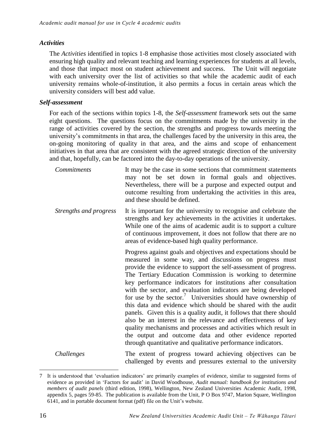#### *Activities*

The *Activities* identified in topics 1-8 emphasise those activities most closely associated with ensuring high quality and relevant teaching and learning experiences for students at all levels, and those that impact most on student achievement and success. The Unit will negotiate with each university over the list of activities so that while the academic audit of each university remains whole-of-institution, it also permits a focus in certain areas which the university considers will best add value.

#### *Self-assessment*

For each of the sections within topics 1-8, the *Self-assessment* framework sets out the same eight questions. The questions focus on the commitments made by the university in the range of activities covered by the section, the strengths and progress towards meeting the university's commitments in that area, the challenges faced by the university in this area, the on-going monitoring of quality in that area, and the aims and scope of enhancement initiatives in that area that are consistent with the agreed strategic direction of the university and that, hopefully, can be factored into the day-to-day operations of the university.

| Commitments | It may be the case in some sections that commitment statements  |
|-------------|-----------------------------------------------------------------|
|             | may not be set down in formal goals and objectives.             |
|             | Nevertheless, there will be a purpose and expected output and   |
|             | outcome resulting from undertaking the activities in this area, |
|             | and these should be defined.                                    |

*Strengths and progress* It is important for the university to recognise and celebrate the strengths and key achievements in the activities it undertakes. While one of the aims of academic audit is to support a culture of continuous improvement, it does not follow that there are no areas of evidence-based high quality performance.

> Progress against goals and objectives and expectations should be measured in some way, and discussions on progress must provide the evidence to support the self-assessment of progress. The Tertiary Education Commission is working to determine key performance indicators for institutions after consultation with the sector, and evaluation indicators are being developed for use by the sector.<sup>7</sup> Universities should have ownership of this data and evidence which should be shared with the audit panels. Given this is a quality audit, it follows that there should also be an interest in the relevance and effectiveness of key quality mechanisms and processes and activities which result in the output and outcome data and other evidence reported through quantitative and qualitative performance indicators.

*Challenges* The extent of progress toward achieving objectives can be challenged by events and pressures external to the university

<sup>7</sup> It is understood that 'evaluation indicators' are primarily examples of evidence, similar to suggested forms of evidence as provided in 'Factors for audit' in David Woodhouse, *Audit manual: handbook for institutions and members of audit panels* (third edition, 1998), Wellington, New Zealand Universities Academic Audit, 1998, appendix 5, pages 59-85. The publication is available from the Unit, P O Box 9747, Marion Square, Wellington 6141, and in portable document format (pdf) file on the Unit's website.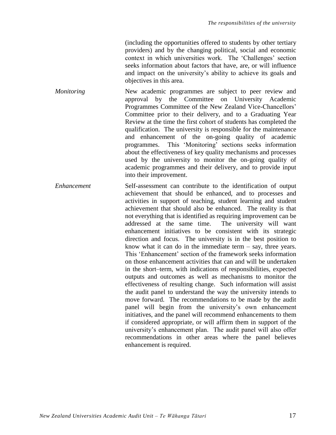(including the opportunities offered to students by other tertiary providers) and by the changing political, social and economic context in which universities work. The 'Challenges' section seeks information about factors that have, are, or will influence and impact on the university's ability to achieve its goals and objectives in this area.

*Monitoring* New academic programmes are subject to peer review and approval by the Committee on University Academic Programmes Committee of the New Zealand Vice-Chancellors' Committee prior to their delivery, and to a Graduating Year Review at the time the first cohort of students has completed the qualification. The university is responsible for the maintenance and enhancement of the on-going quality of academic programmes. This 'Monitoring' sections seeks information about the effectiveness of key quality mechanisms and processes used by the university to monitor the on-going quality of academic programmes and their delivery, and to provide input into their improvement.

*Enhancement* Self-assessment can contribute to the identification of output achievement that should be enhanced, and to processes and activities in support of teaching, student learning and student achievement that should also be enhanced. The reality is that not everything that is identified as requiring improvement can be addressed at the same time. The university will want enhancement initiatives to be consistent with its strategic direction and focus. The university is in the best position to know what it can do in the immediate term – say, three years. This 'Enhancement' section of the framework seeks information on those enhancement activities that can and will be undertaken in the short–term, with indications of responsibilities, expected outputs and outcomes as well as mechanisms to monitor the effectiveness of resulting change. Such information will assist the audit panel to understand the way the university intends to move forward. The recommendations to be made by the audit panel will begin from the university's own enhancement initiatives, and the panel will recommend enhancements to them if considered appropriate, or will affirm them in support of the university's enhancement plan. The audit panel will also offer recommendations in other areas where the panel believes enhancement is required.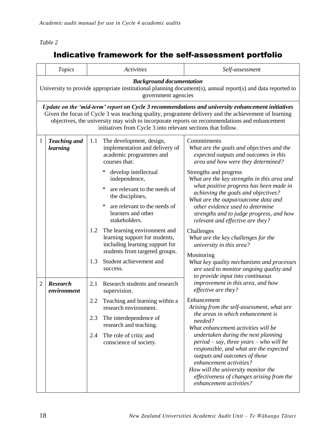*Table 2*

### Indicative framework for the self-assessment portfolio

|                | <b>Topics</b>                                                                                                                                                                                                                                                                                                                                                             | <b>Activities</b>                                                                                                                                                                                                                                                                                                                                                                                                                                                                           | Self-assessment                                                                                                                                                                                                                                                                                                                                                                                                                                                                                                                                                                                                                                                                           |  |  |  |
|----------------|---------------------------------------------------------------------------------------------------------------------------------------------------------------------------------------------------------------------------------------------------------------------------------------------------------------------------------------------------------------------------|---------------------------------------------------------------------------------------------------------------------------------------------------------------------------------------------------------------------------------------------------------------------------------------------------------------------------------------------------------------------------------------------------------------------------------------------------------------------------------------------|-------------------------------------------------------------------------------------------------------------------------------------------------------------------------------------------------------------------------------------------------------------------------------------------------------------------------------------------------------------------------------------------------------------------------------------------------------------------------------------------------------------------------------------------------------------------------------------------------------------------------------------------------------------------------------------------|--|--|--|
|                | <b>Background documentation</b><br>University to provide appropriate institutional planning document(s), annual report(s) and data reported to<br>government agencies                                                                                                                                                                                                     |                                                                                                                                                                                                                                                                                                                                                                                                                                                                                             |                                                                                                                                                                                                                                                                                                                                                                                                                                                                                                                                                                                                                                                                                           |  |  |  |
|                | Update on the 'mid-term' report on Cycle 3 recommendations and university enhancement initiatives<br>Given the focus of Cycle 3 was teaching quality, programme delivery and the achievement of learning<br>objectives, the university may wish to incorporate reports on recommendations and enhancement<br>initiatives from Cycle 3 into relevant sections that follow. |                                                                                                                                                                                                                                                                                                                                                                                                                                                                                             |                                                                                                                                                                                                                                                                                                                                                                                                                                                                                                                                                                                                                                                                                           |  |  |  |
| $\mathbf{1}$   | <b>Teaching and</b><br>learning                                                                                                                                                                                                                                                                                                                                           | The development, design,<br>1.1<br>implementation and delivery of<br>academic programmes and<br>courses that:<br>∗<br>develop intellectual<br>independence,<br>∗<br>are relevant to the needs of<br>the disciplines,<br>∗<br>are relevant to the needs of<br>learners and other<br>stakeholders.<br>The learning environment and<br>1.2<br>learning support for students,<br>including learning support for<br>students from targeted groups.<br>Student achievement and<br>1.3<br>success. | Commitments<br>What are the goals and objectives and the<br>expected outputs and outcomes in this<br>area and how were they determined?<br>Strengths and progress<br>What are the key strengths in this area and<br>what positive progress has been made in<br>achieving the goals and objectives?<br>What are the output/outcome data and<br>other evidence used to determine<br>strengths and to judge progress, and how<br>relevant and effective are they?<br>Challenges<br>What are the key challenges for the<br>university in this area?<br>Monitoring<br>What key quality mechanisms and processes<br>are used to monitor ongoing quality and<br>to provide input into continuous |  |  |  |
| $\overline{2}$ | <b>Research</b><br>environment                                                                                                                                                                                                                                                                                                                                            | Research students and research<br>2.1<br>supervision.<br>Teaching and learning within a<br>2.2<br>research environment.<br>2.3<br>The interdependence of<br>research and teaching.<br>The role of critic and<br>2.4<br>conscience of society.                                                                                                                                                                                                                                               | improvement in this area, and how<br>effective are they?<br>Enhancement<br>Arising from the self-assessment, what are<br>the areas in which enhancement is<br>needed?<br>What enhancement activities will be<br>undertaken during the next planning<br>$period - say$ , three years – who will be<br>responsible, and what are the expected<br>outputs and outcomes of those<br>enhancement activities?<br>How will the university monitor the<br>effectiveness of changes arising from the<br>enhancement activities?                                                                                                                                                                    |  |  |  |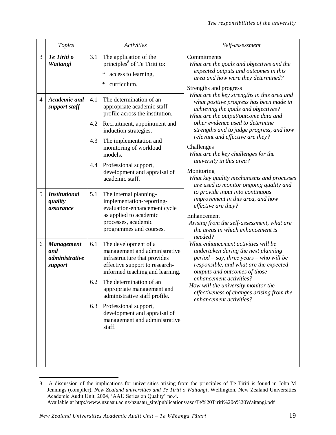|                | <b>Topics</b>                                         | <b>Activities</b>                                                                                                                                                                                                                                                                                                                                                             | Self-assessment                                                                                                                                                                                                                                                                                                                                                                                                                                                                  |
|----------------|-------------------------------------------------------|-------------------------------------------------------------------------------------------------------------------------------------------------------------------------------------------------------------------------------------------------------------------------------------------------------------------------------------------------------------------------------|----------------------------------------------------------------------------------------------------------------------------------------------------------------------------------------------------------------------------------------------------------------------------------------------------------------------------------------------------------------------------------------------------------------------------------------------------------------------------------|
| 3              | Te Tiriti o<br>Waitangi                               | The application of the<br>3.1<br>principles <sup>8</sup> of Te Tiriti to:<br>$\ast$<br>access to learning,<br>curriculum.<br>∗                                                                                                                                                                                                                                                | Commitments<br>What are the goals and objectives and the<br>expected outputs and outcomes in this<br>area and how were they determined?<br>Strengths and progress                                                                                                                                                                                                                                                                                                                |
| $\overline{4}$ | Academic and<br>support staff                         | The determination of an<br>4.1<br>appropriate academic staff<br>profile across the institution.<br>Recruitment, appointment and<br>4.2<br>induction strategies.<br>4.3<br>The implementation and<br>monitoring of workload<br>models.<br>Professional support,<br>4.4<br>development and appraisal of<br>academic staff.                                                      | What are the key strengths in this area and<br>what positive progress has been made in<br>achieving the goals and objectives?<br>What are the output/outcome data and<br>other evidence used to determine<br>strengths and to judge progress, and how<br>relevant and effective are they?<br>Challenges<br>What are the key challenges for the<br>university in this area?<br>Monitoring<br>What key quality mechanisms and processes<br>are used to monitor ongoing quality and |
| 5              | <b>Institutional</b><br>quality<br>assurance          | The internal planning-<br>5.1<br>implementation-reporting-<br>evaluation-enhancement cycle<br>as applied to academic<br>processes, academic<br>programmes and courses.                                                                                                                                                                                                        | to provide input into continuous<br>improvement in this area, and how<br>effective are they?<br>Enhancement<br>Arising from the self-assessment, what are<br>the areas in which enhancement is<br>needed?                                                                                                                                                                                                                                                                        |
| 6              | <b>Management</b><br>and<br>administrative<br>support | The development of a<br>6.1<br>management and administrative<br>infrastructure that provides<br>effective support to research-<br>informed teaching and learning.<br>The determination of an<br>6.2<br>appropriate management and<br>administrative staff profile.<br>Professional support,<br>6.3<br>development and appraisal of<br>management and administrative<br>staff. | What enhancement activities will be<br>undertaken during the next planning<br>$period - say$ , three years $-$ who will be<br>responsible, and what are the expected<br>outputs and outcomes of those<br>enhancement activities?<br>How will the university monitor the<br>effectiveness of changes arising from the<br>enhancement activities?                                                                                                                                  |

<sup>8</sup> A discussion of the implications for universities arising from the principles of Te Tiriti is found in John M Jennings (compiler), *New Zealand universities and Te Tiriti o Waitangi*, Wellington, New Zealand Universities Academic Audit Unit, 2004, 'AAU Series on Quality' no.4. Available at http://www.nzuaau.ac.nz/nzuaau\_site/publications/asq/Te%20Tiriti%20o%20Waitangi.pdf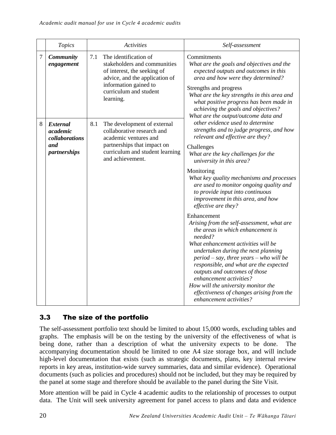|   | <b>Topics</b>                                                        | <b>Activities</b>                                                                                                                                                                             | Self-assessment                                                                                                                                                                                                                                                                                                                                                                                                                                                                                                                                                                                                                                                                                                                                                                                                                                                       |  |
|---|----------------------------------------------------------------------|-----------------------------------------------------------------------------------------------------------------------------------------------------------------------------------------------|-----------------------------------------------------------------------------------------------------------------------------------------------------------------------------------------------------------------------------------------------------------------------------------------------------------------------------------------------------------------------------------------------------------------------------------------------------------------------------------------------------------------------------------------------------------------------------------------------------------------------------------------------------------------------------------------------------------------------------------------------------------------------------------------------------------------------------------------------------------------------|--|
| 7 | <b>Community</b><br>engagement                                       | The identification of<br>7.1<br>stakeholders and communities<br>of interest, the seeking of<br>advice, and the application of<br>information gained to<br>curriculum and student<br>learning. | Commitments<br>What are the goals and objectives and the<br>expected outputs and outcomes in this<br>area and how were they determined?<br>Strengths and progress<br>What are the key strengths in this area and<br>what positive progress has been made in<br>achieving the goals and objectives?<br>What are the output/outcome data and                                                                                                                                                                                                                                                                                                                                                                                                                                                                                                                            |  |
| 8 | <b>External</b><br>academic<br>collaborations<br>and<br>partnerships | The development of external<br>8.1<br>collaborative research and<br>academic ventures and<br>partnerships that impact on<br>curriculum and student learning<br>and achievement.               | other evidence used to determine<br>strengths and to judge progress, and how<br>relevant and effective are they?<br>Challenges<br>What are the key challenges for the<br>university in this area?<br>Monitoring<br>What key quality mechanisms and processes<br>are used to monitor ongoing quality and<br>to provide input into continuous<br>improvement in this area, and how<br>effective are they?<br>Enhancement<br>Arising from the self-assessment, what are<br>the areas in which enhancement is<br>needed?<br>What enhancement activities will be<br>undertaken during the next planning<br>$period - say$ , three years – who will be<br>responsible, and what are the expected<br>outputs and outcomes of those<br>enhancement activities?<br>How will the university monitor the<br>effectiveness of changes arising from the<br>enhancement activities? |  |

#### 3.3 The size of the portfolio

The self-assessment portfolio text should be limited to about 15,000 words, excluding tables and graphs. The emphasis will be on the testing by the university of the effectiveness of what is being done, rather than a description of what the university expects to be done. The accompanying documentation should be limited to one A4 size storage box, and will include high-level documentation that exists (such as strategic documents, plans, key internal review reports in key areas, institution-wide survey summaries, data and similar evidence). Operational documents (such as policies and procedures) should not be included, but they may be required by the panel at some stage and therefore should be available to the panel during the Site Visit.

More attention will be paid in Cycle 4 academic audits to the relationship of processes to output data. The Unit will seek university agreement for panel access to plans and data and evidence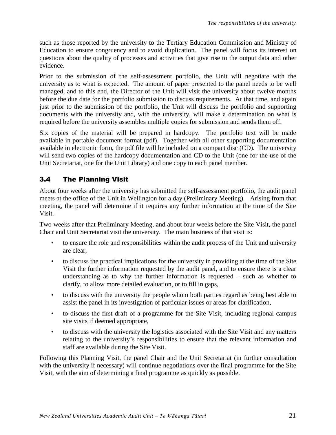such as those reported by the university to the Tertiary Education Commission and Ministry of Education to ensure congruency and to avoid duplication. The panel will focus its interest on questions about the quality of processes and activities that give rise to the output data and other evidence.

Prior to the submission of the self-assessment portfolio, the Unit will negotiate with the university as to what is expected. The amount of paper presented to the panel needs to be well managed, and to this end, the Director of the Unit will visit the university about twelve months before the due date for the portfolio submission to discuss requirements. At that time, and again just prior to the submission of the portfolio, the Unit will discuss the portfolio and supporting documents with the university and, with the university, will make a determination on what is required before the university assembles multiple copies for submission and sends them off.

Six copies of the material will be prepared in hardcopy. The portfolio text will be made available in portable document format (pdf). Together with all other supporting documentation available in electronic form, the pdf file will be included on a compact disc (CD). The university will send two copies of the hardcopy documentation and CD to the Unit (one for the use of the Unit Secretariat, one for the Unit Library) and one copy to each panel member.

#### 3.4 The Planning Visit

About four weeks after the university has submitted the self-assessment portfolio, the audit panel meets at the office of the Unit in Wellington for a day (Preliminary Meeting). Arising from that meeting, the panel will determine if it requires any further information at the time of the Site Visit.

Two weeks after that Preliminary Meeting, and about four weeks before the Site Visit, the panel Chair and Unit Secretariat visit the university. The main business of that visit is:

- to ensure the role and responsibilities within the audit process of the Unit and university are clear,
- to discuss the practical implications for the university in providing at the time of the Site Visit the further information requested by the audit panel, and to ensure there is a clear understanding as to why the further information is requested – such as whether to clarify, to allow more detailed evaluation, or to fill in gaps,
- to discuss with the university the people whom both parties regard as being best able to assist the panel in its investigation of particular issues or areas for clarification,
- to discuss the first draft of a programme for the Site Visit, including regional campus site visits if deemed appropriate,
- to discuss with the university the logistics associated with the Site Visit and any matters relating to the university's responsibilities to ensure that the relevant information and staff are available during the Site Visit.

Following this Planning Visit, the panel Chair and the Unit Secretariat (in further consultation with the university if necessary) will continue negotiations over the final programme for the Site Visit, with the aim of determining a final programme as quickly as possible.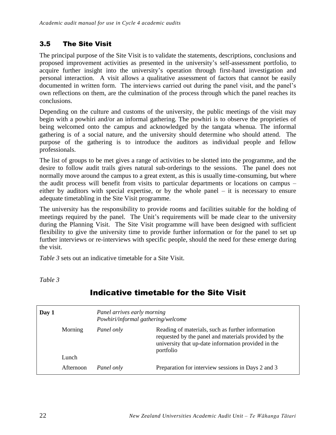#### 3.5 The Site Visit

The principal purpose of the Site Visit is to validate the statements, descriptions, conclusions and proposed improvement activities as presented in the university's self-assessment portfolio, to acquire further insight into the university's operation through first-hand investigation and personal interaction. A visit allows a qualitative assessment of factors that cannot be easily documented in written form. The interviews carried out during the panel visit, and the panel's own reflections on them, are the culmination of the process through which the panel reaches its conclusions.

Depending on the culture and customs of the university, the public meetings of the visit may begin with a powhiri and/or an informal gathering. The powhiri is to observe the proprieties of being welcomed onto the campus and acknowledged by the tangata whenua. The informal gathering is of a social nature, and the university should determine who should attend. The purpose of the gathering is to introduce the auditors as individual people and fellow professionals.

The list of groups to be met gives a range of activities to be slotted into the programme, and the desire to follow audit trails gives natural sub-orderings to the sessions. The panel does not normally move around the campus to a great extent, as this is usually time-consuming, but where the audit process will benefit from visits to particular departments or locations on campus – either by auditors with special expertise, or by the whole panel – it is necessary to ensure adequate timetabling in the Site Visit programme.

The university has the responsibility to provide rooms and facilities suitable for the holding of meetings required by the panel. The Unit's requirements will be made clear to the university during the Planning Visit. The Site Visit programme will have been designed with sufficient flexibility to give the university time to provide further information or for the panel to set up further interviews or re-interviews with specific people, should the need for these emerge during the visit.

*Table 3* sets out an indicative timetable for a Site Visit.

| Day 1 |           | Panel arrives early morning<br>Powhiri/informal gathering/welcome |                                                                                                                                                                               |  |
|-------|-----------|-------------------------------------------------------------------|-------------------------------------------------------------------------------------------------------------------------------------------------------------------------------|--|
|       | Morning   | Panel only                                                        | Reading of materials, such as further information<br>requested by the panel and materials provided by the<br>university that up-date information provided in the<br>portfolio |  |
|       | Lunch     |                                                                   |                                                                                                                                                                               |  |
|       | Afternoon | Panel only                                                        | Preparation for interview sessions in Days 2 and 3                                                                                                                            |  |

#### *Table 3*

#### Indicative timetable for the Site Visit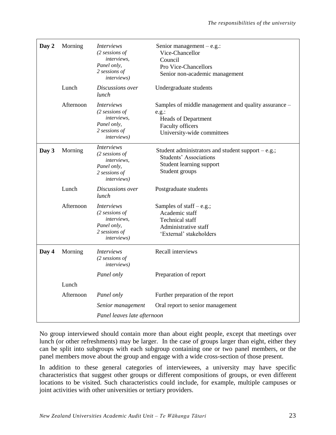| Day 2 | Morning   | <i>Interviews</i><br>$(2$ sessions of<br><i>interviews.</i><br>Panel only,<br>2 sessions of<br><i>interviews</i> ) | Senior management $-e.g.:$<br>Vice-Chancellor<br>Council<br>Pro Vice-Chancellors<br>Senior non-academic management                            |
|-------|-----------|--------------------------------------------------------------------------------------------------------------------|-----------------------------------------------------------------------------------------------------------------------------------------------|
|       | Lunch     | Discussions over<br>lunch                                                                                          | Undergraduate students                                                                                                                        |
|       | Afternoon | <b>Interviews</b><br>$(2$ sessions of<br><i>interviews,</i><br>Panel only,<br>2 sessions of<br><i>interviews</i> ) | Samples of middle management and quality assurance -<br>e.g.:<br><b>Heads of Department</b><br>Faculty officers<br>University-wide committees |
| Day 3 | Morning   | <b>Interviews</b><br>$(2$ sessions of<br><i>interviews.</i><br>Panel only,<br>2 sessions of<br><i>interviews</i> ) | Student administrators and student support $-e.g.,$<br><b>Students' Associations</b><br>Student learning support<br>Student groups            |
|       | Lunch     | Discussions over<br>lunch                                                                                          | Postgraduate students                                                                                                                         |
|       | Afternoon | <i>Interviews</i><br>$(2$ sessions of<br><i>interviews.</i><br>Panel only,<br>2 sessions of<br><i>interviews</i> ) | Samples of staff $-e.g.;$<br>Academic staff<br><b>Technical</b> staff<br>Administrative staff<br>'External' stakeholders                      |
| Day 4 | Morning   | Interviews<br>$(2$ sessions of<br><i>interviews</i> )                                                              | Recall interviews                                                                                                                             |
|       |           | Panel only                                                                                                         | Preparation of report                                                                                                                         |
|       | Lunch     |                                                                                                                    |                                                                                                                                               |
|       | Afternoon | Panel only                                                                                                         | Further preparation of the report                                                                                                             |
|       |           | Senior management                                                                                                  | Oral report to senior management                                                                                                              |
|       |           | Panel leaves late afternoon                                                                                        |                                                                                                                                               |

No group interviewed should contain more than about eight people, except that meetings over lunch (or other refreshments) may be larger. In the case of groups larger than eight, either they can be split into subgroups with each subgroup containing one or two panel members, or the panel members move about the group and engage with a wide cross-section of those present.

In addition to these general categories of interviewees, a university may have specific characteristics that suggest other groups or different compositions of groups, or even different locations to be visited. Such characteristics could include, for example, multiple campuses or joint activities with other universities or tertiary providers.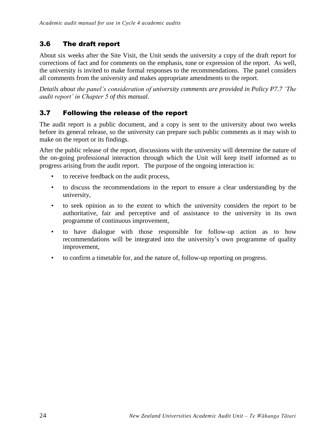#### 3.6 The draft report

About six weeks after the Site Visit, the Unit sends the university a copy of the draft report for corrections of fact and for comments on the emphasis, tone or expression of the report. As well, the university is invited to make formal responses to the recommendations. The panel considers all comments from the university and makes appropriate amendments to the report.

*Details about the panel's consideration of university comments are provided in Policy P7.7 'The audit report' in Chapter 5 of this manual.*

#### 3.7 Following the release of the report

The audit report is a public document, and a copy is sent to the university about two weeks before its general release, so the university can prepare such public comments as it may wish to make on the report or its findings.

After the public release of the report, discussions with the university will determine the nature of the on-going professional interaction through which the Unit will keep itself informed as to progress arising from the audit report. The purpose of the ongoing interaction is:

- to receive feedback on the audit process,
- to discuss the recommendations in the report to ensure a clear understanding by the university,
- to seek opinion as to the extent to which the university considers the report to be authoritative, fair and perceptive and of assistance to the university in its own programme of continuous improvement,
- to have dialogue with those responsible for follow-up action as to how recommendations will be integrated into the university's own programme of quality improvement,
- to confirm a timetable for, and the nature of, follow-up reporting on progress.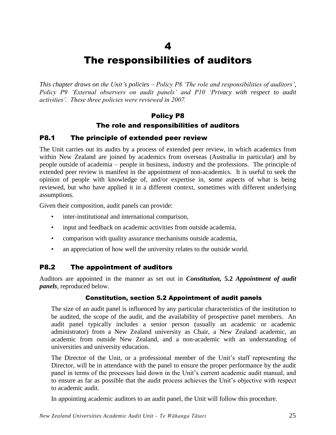#### 4

## The responsibilities of auditors

*This chapter draws on the Unit's policies – Policy P8 'The role and responsibilities of auditors', Policy P9 'External observers on audit panels' and P10 'Privacy with respect to audit activities'. These three policies were reviewed in 2007.*

#### Policy P8 The role and responsibilities of auditors

#### P8.1 The principle of extended peer review

The Unit carries out its audits by a process of extended peer review, in which academics from within New Zealand are joined by academics from overseas (Australia in particular) and by people outside of academia – people in business, industry and the professions. The principle of extended peer review is manifest in the appointment of non-academics. It is useful to seek the opinion of people with knowledge of, and/or expertise in, some aspects of what is being reviewed, but who have applied it in a different context, sometimes with different underlying assumptions.

Given their composition, audit panels can provide:

- inter-institutional and international comparison,
- input and feedback on academic activities from outside academia,
- comparison with quality assurance mechanisms outside academia,
- an appreciation of how well the university relates to the outside world.

#### P8.2 The appointment of auditors

Auditors are appointed in the manner as set out in *Constitution,* **5.2** *Appointment of audit panels*, reproduced below.

#### Constitution, section 5.2 Appointment of audit panels

The size of an audit panel is influenced by any particular characteristics of the institution to be audited, the scope of the audit, and the availability of prospective panel members. An audit panel typically includes a senior person (usually an academic or academic administrator) from a New Zealand university as Chair, a New Zealand academic, an academic from outside New Zealand, and a non-academic with an understanding of universities and university education.

The Director of the Unit, or a professional member of the Unit's staff representing the Director, will be in attendance with the panel to ensure the proper performance by the audit panel in terms of the processes laid down in the Unit's current academic audit manual, and to ensure as far as possible that the audit process achieves the Unit's objective with respect to academic audit.

In appointing academic auditors to an audit panel, the Unit will follow this procedure.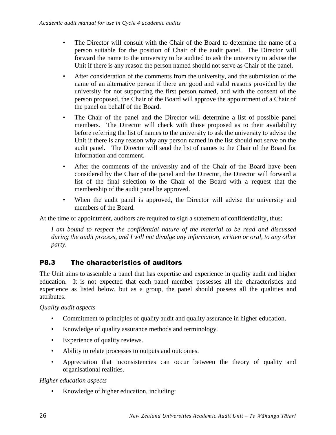- The Director will consult with the Chair of the Board to determine the name of a person suitable for the position of Chair of the audit panel. The Director will forward the name to the university to be audited to ask the university to advise the Unit if there is any reason the person named should not serve as Chair of the panel.
- After consideration of the comments from the university, and the submission of the name of an alternative person if there are good and valid reasons provided by the university for not supporting the first person named, and with the consent of the person proposed, the Chair of the Board will approve the appointment of a Chair of the panel on behalf of the Board.
- The Chair of the panel and the Director will determine a list of possible panel members. The Director will check with those proposed as to their availability before referring the list of names to the university to ask the university to advise the Unit if there is any reason why any person named in the list should not serve on the audit panel. The Director will send the list of names to the Chair of the Board for information and comment.
- After the comments of the university and of the Chair of the Board have been considered by the Chair of the panel and the Director, the Director will forward a list of the final selection to the Chair of the Board with a request that the membership of the audit panel be approved.
- When the audit panel is approved, the Director will advise the university and members of the Board.

At the time of appointment, auditors are required to sign a statement of confidentiality, thus:

*I am bound to respect the confidential nature of the material to be read and discussed during the audit process, and I will not divulge any information, written or oral, to any other party.*

#### P8.3 The characteristics of auditors

The Unit aims to assemble a panel that has expertise and experience in quality audit and higher education. It is not expected that each panel member possesses all the characteristics and experience as listed below, but as a group, the panel should possess all the qualities and attributes.

#### *Quality audit aspects*

- Commitment to principles of quality audit and quality assurance in higher education.
- Knowledge of quality assurance methods and terminology.
- Experience of quality reviews.
- Ability to relate processes to outputs and outcomes.
- Appreciation that inconsistencies can occur between the theory of quality and organisational realities.

#### *Higher education aspects*

• Knowledge of higher education, including: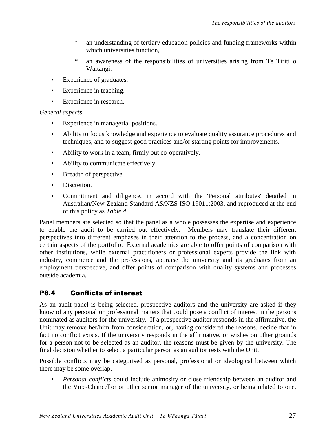- \* an understanding of tertiary education policies and funding frameworks within which universities function.
- \* an awareness of the responsibilities of universities arising from Te Tiriti o Waitangi.
- Experience of graduates.
- Experience in teaching.
- Experience in research.

#### *General aspects*

- Experience in managerial positions.
- Ability to focus knowledge and experience to evaluate quality assurance procedures and techniques, and to suggest good practices and/or starting points for improvements.
- Ability to work in a team, firmly but co-operatively.
- Ability to communicate effectively.
- Breadth of perspective.
- Discretion.
- Commitment and diligence, in accord with the 'Personal attributes' detailed in Australian/New Zealand Standard AS/NZS ISO 19011:2003, and reproduced at the end of this policy as *Table 4.*

Panel members are selected so that the panel as a whole possesses the expertise and experience to enable the audit to be carried out effectively. Members may translate their different perspectives into different emphases in their attention to the process, and a concentration on certain aspects of the portfolio. External academics are able to offer points of comparison with other institutions, while external practitioners or professional experts provide the link with industry, commerce and the professions, appraise the university and its graduates from an employment perspective, and offer points of comparison with quality systems and processes outside academia.

#### P8.4 Conflicts of interest

As an audit panel is being selected, prospective auditors and the university are asked if they know of any personal or professional matters that could pose a conflict of interest in the persons nominated as auditors for the university. If a prospective auditor responds in the affirmative, the Unit may remove her/him from consideration, or, having considered the reasons, decide that in fact no conflict exists. If the university responds in the affirmative, or wishes on other grounds for a person not to be selected as an auditor, the reasons must be given by the university. The final decision whether to select a particular person as an auditor rests with the Unit.

Possible conflicts may be categorised as personal, professional or ideological between which there may be some overlap.

• *Personal conflicts* could include animosity or close friendship between an auditor and the Vice-Chancellor or other senior manager of the university, or being related to one,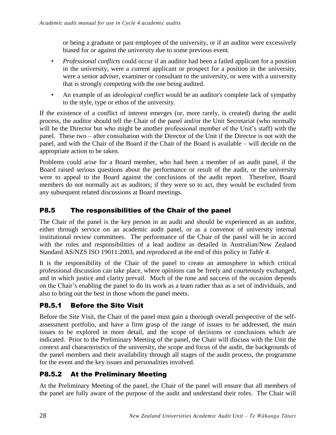or being a graduate or past employee of the university, or if an auditor were excessively biased for or against the university due to some previous event.

- *Professional conflicts* could occur if an auditor had been a failed applicant for a position in the university, were a current applicant or prospect for a position in the university, were a senior adviser, examiner or consultant to the university, or were with a university that is strongly competing with the one being audited.
- An example of an *ideological conflict* would be an auditor's complete lack of sympathy to the style, type or ethos of the university.

If the existence of a conflict of interest emerges (or, more rarely, is created) during the audit process, the auditor should tell the Chair of the panel and/or the Unit Secretariat (who normally will be the Director but who might be another professional member of the Unit's staff) with the panel. These two – after consultation with the Director of the Unit if the Director is not with the panel, and with the Chair of the Board if the Chair of the Board is available – will decide on the appropriate action to be taken.

Problems could arise for a Board member, who had been a member of an audit panel, if the Board raised serious questions about the performance or result of the audit, or the university were to appeal to the Board against the conclusions of the audit report. Therefore, Board members do not normally act as auditors; if they were so to act, they would be excluded from any subsequent related discussions at Board meetings.

#### P8.5 The responsibilities of the Chair of the panel

The Chair of the panel is the key person in an audit and should be experienced as an auditor, either through service on an academic audit panel, or as a convenor of university internal institutional review committees. The performance of the Chair of the panel will be in accord with the roles and responsibilities of a lead auditor as detailed in Australian/New Zealand Standard AS/NZS ISO 19011:2003, and reproduced at the end of this policy in *Table 4.*

It is the responsibility of the Chair of the panel to create an atmosphere in which critical professional discussion can take place, where opinions can be freely and courteously exchanged, and in which justice and clarity prevail. Much of the tone and success of the occasion depends on the Chair's enabling the panel to do its work as a team rather than as a set of individuals, and also to bring out the best in those whom the panel meets.

#### P8.5.1 Before the Site Visit

Before the Site Visit, the Chair of the panel must gain a thorough overall perspective of the selfassessment portfolio, and have a firm grasp of the range of issues to be addressed, the main issues to be explored in more detail, and the scope of decisions or conclusions which are indicated. Prior to the Preliminary Meeting of the panel, the Chair will discuss with the Unit the context and characteristics of the university, the scope and focus of the audit, the backgrounds of the panel members and their availability through all stages of the audit process, the programme for the event and the key issues and personalities involved.

#### P8.5.2 At the Preliminary Meeting

At the Preliminary Meeting of the panel, the Chair of the panel will ensure that all members of the panel are fully aware of the purpose of the audit and understand their roles. The Chair will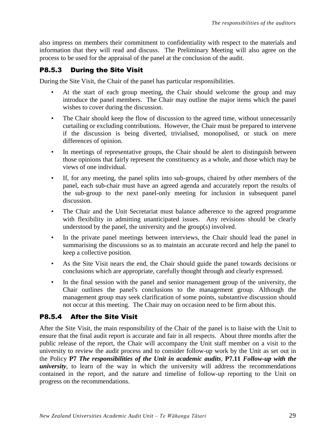also impress on members their commitment to confidentiality with respect to the materials and information that they will read and discuss. The Preliminary Meeting will also agree on the process to be used for the appraisal of the panel at the conclusion of the audit.

#### P8.5.3 During the Site Visit

During the Site Visit, the Chair of the panel has particular responsibilities.

- At the start of each group meeting, the Chair should welcome the group and may introduce the panel members. The Chair may outline the major items which the panel wishes to cover during the discussion.
- The Chair should keep the flow of discussion to the agreed time, without unnecessarily curtailing or excluding contributions. However, the Chair must be prepared to intervene if the discussion is being diverted, trivialised, monopolised, or stuck on mere differences of opinion.
- In meetings of representative groups, the Chair should be alert to distinguish between those opinions that fairly represent the constituency as a whole, and those which may be views of one individual.
- If, for any meeting, the panel splits into sub-groups, chaired by other members of the panel, each sub-chair must have an agreed agenda and accurately report the results of the sub-group to the next panel-only meeting for inclusion in subsequent panel discussion.
- The Chair and the Unit Secretariat must balance adherence to the agreed programme with flexibility in admitting unanticipated issues. Any revisions should be clearly understood by the panel, the university and the group(s) involved.
- In the private panel meetings between interviews, the Chair should lead the panel in summarising the discussions so as to maintain an accurate record and help the panel to keep a collective position.
- As the Site Visit nears the end, the Chair should guide the panel towards decisions or conclusions which are appropriate, carefully thought through and clearly expressed.
- In the final session with the panel and senior management group of the university, the Chair outlines the panel's conclusions to the management group. Although the management group may seek clarification of some points, substantive discussion should not occur at this meeting. The Chair may on occasion need to be firm about this.

#### P8.5.4 After the Site Visit

After the Site Visit, the main responsibility of the Chair of the panel is to liaise with the Unit to ensure that the final audit report is accurate and fair in all respects. About three months after the public release of the report, the Chair will accompany the Unit staff member on a visit to the university to review the audit process and to consider follow-up work by the Unit as set out in the Policy **P7** *The responsibilities of the Unit in academic audits*, **P7.11** *Follow-up with the university*, to learn of the way in which the university will address the recommendations contained in the report, and the nature and timeline of follow-up reporting to the Unit on progress on the recommendations.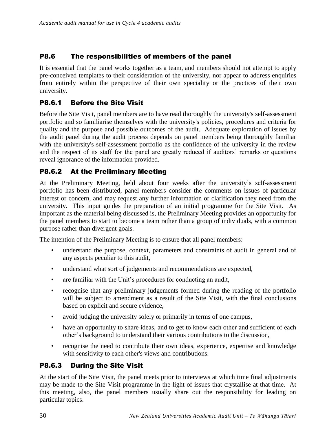#### P8.6 The responsibilities of members of the panel

It is essential that the panel works together as a team, and members should not attempt to apply pre-conceived templates to their consideration of the university, nor appear to address enquiries from entirely within the perspective of their own speciality or the practices of their own university.

#### P8.6.1 Before the Site Visit

Before the Site Visit, panel members are to have read thoroughly the university's self-assessment portfolio and so familiarise themselves with the university's policies, procedures and criteria for quality and the purpose and possible outcomes of the audit. Adequate exploration of issues by the audit panel during the audit process depends on panel members being thoroughly familiar with the university's self-assessment portfolio as the confidence of the university in the review and the respect of its staff for the panel are greatly reduced if auditors' remarks or questions reveal ignorance of the information provided.

#### P8.6.2 At the Preliminary Meeting

At the Preliminary Meeting, held about four weeks after the university's self-assessment portfolio has been distributed, panel members consider the comments on issues of particular interest or concern, and may request any further information or clarification they need from the university. This input guides the preparation of an initial programme for the Site Visit. As important as the material being discussed is, the Preliminary Meeting provides an opportunity for the panel members to start to become a team rather than a group of individuals, with a common purpose rather than divergent goals.

The intention of the Preliminary Meeting is to ensure that all panel members:

- understand the purpose, context, parameters and constraints of audit in general and of any aspects peculiar to this audit,
- understand what sort of judgements and recommendations are expected,
- are familiar with the Unit's procedures for conducting an audit,
- recognise that any preliminary judgements formed during the reading of the portfolio will be subject to amendment as a result of the Site Visit, with the final conclusions based on explicit and secure evidence,
- avoid judging the university solely or primarily in terms of one campus,
- have an opportunity to share ideas, and to get to know each other and sufficient of each other's background to understand their various contributions to the discussion,
- recognise the need to contribute their own ideas, experience, expertise and knowledge with sensitivity to each other's views and contributions.

#### P8.6.3 During the Site Visit

At the start of the Site Visit, the panel meets prior to interviews at which time final adjustments may be made to the Site Visit programme in the light of issues that crystallise at that time. At this meeting, also, the panel members usually share out the responsibility for leading on particular topics.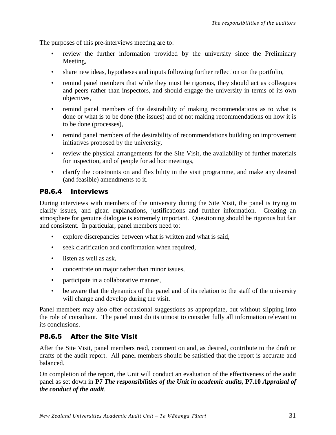The purposes of this pre-interviews meeting are to:

- review the further information provided by the university since the Preliminary Meeting,
- share new ideas, hypotheses and inputs following further reflection on the portfolio,
- remind panel members that while they must be rigorous, they should act as colleagues and peers rather than inspectors, and should engage the university in terms of its own objectives,
- remind panel members of the desirability of making recommendations as to what is done or what is to be done (the issues) and of not making recommendations on how it is to be done (processes),
- remind panel members of the desirability of recommendations building on improvement initiatives proposed by the university,
- review the physical arrangements for the Site Visit, the availability of further materials for inspection, and of people for ad hoc meetings,
- clarify the constraints on and flexibility in the visit programme, and make any desired (and feasible) amendments to it.

#### P8.6.4 Interviews

During interviews with members of the university during the Site Visit, the panel is trying to clarify issues, and glean explanations, justifications and further information. Creating an atmosphere for genuine dialogue is extremely important. Questioning should be rigorous but fair and consistent. In particular, panel members need to:

- explore discrepancies between what is written and what is said,
- seek clarification and confirmation when required,
- listen as well as ask.
- concentrate on major rather than minor issues,
- participate in a collaborative manner,
- be aware that the dynamics of the panel and of its relation to the staff of the university will change and develop during the visit.

Panel members may also offer occasional suggestions as appropriate, but without slipping into the role of consultant. The panel must do its utmost to consider fully all information relevant to its conclusions.

#### P8.6.5 After the Site Visit

After the Site Visit, panel members read, comment on and, as desired, contribute to the draft or drafts of the audit report. All panel members should be satisfied that the report is accurate and balanced.

On completion of the report, the Unit will conduct an evaluation of the effectiveness of the audit panel as set down in **P7** *The responsibilities of the Unit in academic audits,* **P7.10** *Appraisal of the conduct of the audit*.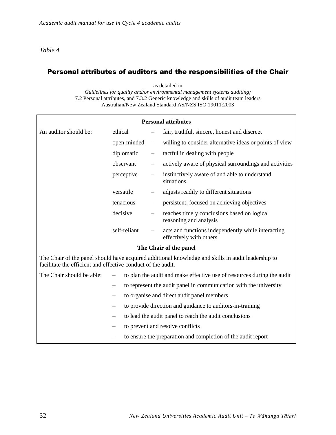*Table 4*

#### Personal attributes of auditors and the responsibilities of the Chair

as detailed in *Guidelines for quality and/or environmental management systems auditing;* 7.2 Personal attributes, and 7.3.2 Generic knowledge and skills of audit team leaders Australian/New Zealand Standard AS/NZS ISO 19011:2003

| <b>Personal attributes</b>                                                                                                                                         |                                                             |                          |                                                                               |
|--------------------------------------------------------------------------------------------------------------------------------------------------------------------|-------------------------------------------------------------|--------------------------|-------------------------------------------------------------------------------|
| An auditor should be:                                                                                                                                              | ethical                                                     | $\overline{\phantom{0}}$ | fair, truthful, sincere, honest and discreet                                  |
|                                                                                                                                                                    | open-minded                                                 | $\qquad \qquad -$        | willing to consider alternative ideas or points of view                       |
|                                                                                                                                                                    | diplomatic                                                  | —                        | tactful in dealing with people                                                |
|                                                                                                                                                                    | observant                                                   | —                        | actively aware of physical surroundings and activities                        |
|                                                                                                                                                                    | perceptive                                                  |                          | instinctively aware of and able to understand<br>situations                   |
|                                                                                                                                                                    | versatile                                                   | -                        | adjusts readily to different situations                                       |
|                                                                                                                                                                    | tenacious                                                   | -                        | persistent, focused on achieving objectives                                   |
|                                                                                                                                                                    | decisive                                                    |                          | reaches timely conclusions based on logical<br>reasoning and analysis         |
| self-reliant                                                                                                                                                       |                                                             |                          | acts and functions independently while interacting<br>effectively with others |
| The Chair of the panel                                                                                                                                             |                                                             |                          |                                                                               |
| The Chair of the panel should have acquired additional knowledge and skills in audit leadership to<br>facilitate the efficient and effective conduct of the audit. |                                                             |                          |                                                                               |
| The Chair should be able:                                                                                                                                          |                                                             |                          | to plan the audit and make effective use of resources during the audit        |
| —<br>—<br>—                                                                                                                                                        |                                                             |                          | to represent the audit panel in communication with the university             |
|                                                                                                                                                                    |                                                             |                          | to organise and direct audit panel members                                    |
|                                                                                                                                                                    |                                                             |                          | to provide direction and guidance to auditors-in-training                     |
|                                                                                                                                                                    | to lead the audit panel to reach the audit conclusions<br>— |                          |                                                                               |
|                                                                                                                                                                    | to prevent and resolve conflicts<br>—                       |                          |                                                                               |
|                                                                                                                                                                    |                                                             |                          | to ensure the preparation and completion of the audit report                  |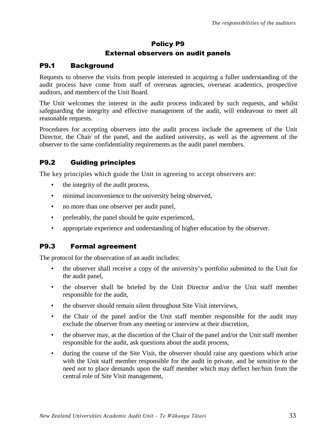#### Policy P9

#### External observers on audit panels

#### P9.1 Background

Requests to observe the visits from people interested in acquiring a fuller understanding of the audit process have come from staff of overseas agencies, overseas academics, prospective auditors, and members of the Unit Board.

The Unit welcomes the interest in the audit process indicated by such requests, and whilst safeguarding the integrity and effective management of the audit, will endeavour to meet all reasonable requests.

Procedures for accepting observers into the audit process include the agreement of the Unit Director, the Chair of the panel, and the audited university, as well as the agreement of the observer to the same confidentiality requirements as the audit panel members.

#### P9.2 Guiding principles

The key principles which guide the Unit in agreeing to accept observers are:

- the integrity of the audit process,
- minimal inconvenience to the university being observed,
- no more than one observer per audit panel,
- preferably, the panel should be quite experienced,
- appropriate experience and understanding of higher education by the observer.

#### P9.3 Formal agreement

The protocol for the observation of an audit includes:

- the observer shall receive a copy of the university's portfolio submitted to the Unit for the audit panel,
- the observer shall be briefed by the Unit Director and/or the Unit staff member responsible for the audit,
- the observer should remain silent throughout Site Visit interviews,
- the Chair of the panel and/or the Unit staff member responsible for the audit may exclude the observer from any meeting or interview at their discretion,
- the observer may, at the discretion of the Chair of the panel and/or the Unit staff member responsible for the audit, ask questions about the audit process,
- during the course of the Site Visit, the observer should raise any questions which arise with the Unit staff member responsible for the audit in private, and be sensitive to the need not to place demands upon the staff member which may deflect her/him from the central role of Site Visit management,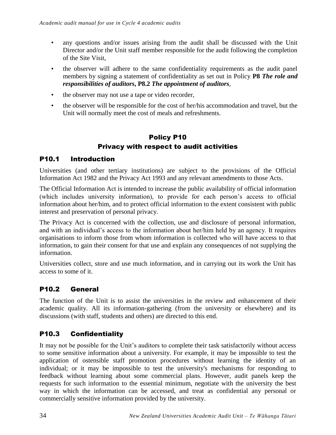- any questions and/or issues arising from the audit shall be discussed with the Unit Director and/or the Unit staff member responsible for the audit following the completion of the Site Visit,
- the observer will adhere to the same confidentiality requirements as the audit panel members by signing a statement of confidentiality as set out in Policy **P8** *The role and responsibilities of auditors***, P8.2** *The appointment of auditors*,
- the observer may not use a tape or video recorder,
- the observer will be responsible for the cost of her/his accommodation and travel, but the Unit will normally meet the cost of meals and refreshments.

#### Policy P10 Privacy with respect to audit activities

#### P10.1 Introduction

Universities (and other tertiary institutions) are subject to the provisions of the Official Information Act 1982 and the Privacy Act 1993 and any relevant amendments to those Acts.

The Official Information Act is intended to increase the public availability of official information (which includes university information), to provide for each person's access to official information about her/him, and to protect official information to the extent consistent with public interest and preservation of personal privacy.

The Privacy Act is concerned with the collection, use and disclosure of personal information, and with an individual's access to the information about her/him held by an agency. It requires organisations to inform those from whom information is collected who will have access to that information, to gain their consent for that use and explain any consequences of not supplying the information.

Universities collect, store and use much information, and in carrying out its work the Unit has access to some of it.

#### P10.2 General

The function of the Unit is to assist the universities in the review and enhancement of their academic quality. All its information-gathering (from the university or elsewhere) and its discussions (with staff, students and others) are directed to this end.

#### P10.3 Confidentiality

It may not be possible for the Unit's auditors to complete their task satisfactorily without access to some sensitive information about a university. For example, it may be impossible to test the application of ostensible staff promotion procedures without learning the identity of an individual; or it may be impossible to test the university's mechanisms for responding to feedback without learning about some commercial plans. However, audit panels keep the requests for such information to the essential minimum, negotiate with the university the best way in which the information can be accessed, and treat as confidential any personal or commercially sensitive information provided by the university.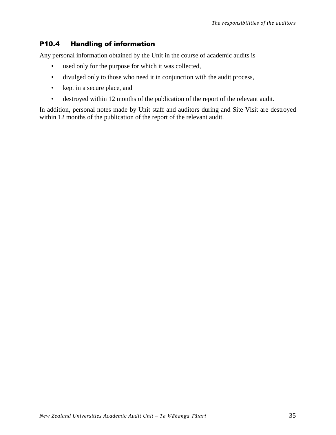#### P10.4 Handling of information

Any personal information obtained by the Unit in the course of academic audits is

- used only for the purpose for which it was collected,
- divulged only to those who need it in conjunction with the audit process,
- kept in a secure place, and
- destroyed within 12 months of the publication of the report of the relevant audit.

In addition, personal notes made by Unit staff and auditors during and Site Visit are destroyed within 12 months of the publication of the report of the relevant audit.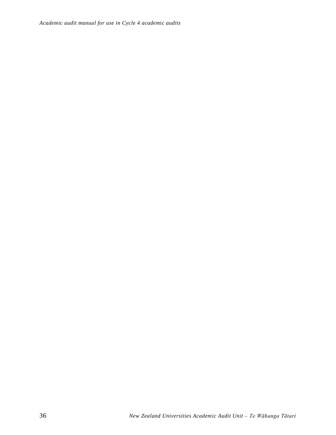*Academic audit manual for use in Cycle 4 academic audits*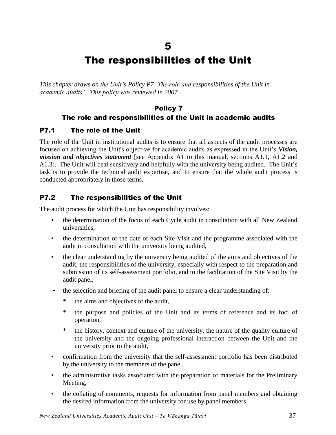#### 5

## The responsibilities of the Unit

*This chapter draws on the Unit's Policy P7 'The role and responsibilities of the Unit in academic audits'. This policy was reviewed in 2007.*

#### Policy 7

#### The role and responsibilities of the Unit in academic audits

#### P7.1 The role of the Unit

The role of the Unit in institutional audits is to ensure that all aspects of the audit processes are focused on achieving the Unit's objective for academic audits as expressed in the Unit's *Vision, mission and objectives statement* [see Appendix A1 to this manual, sections A1.1, A1.2 and A1.3]. The Unit will deal sensitively and helpfully with the university being audited. The Unit's task is to provide the technical audit expertise, and to ensure that the whole audit process is conducted appropriately in those terms.

#### P7.2 The responsibilities of the Unit

The audit process for which the Unit has responsibility involves:

- the determination of the focus of each Cycle audit in consultation with all New Zealand universities,
- the determination of the date of each Site Visit and the programme associated with the audit in consultation with the university being audited,
- the clear understanding by the university being audited of the aims and objectives of the audit, the responsibilities of the university, especially with respect to the preparation and submission of its self-assessment portfolio, and to the facilitation of the Site Visit by the audit panel,
- the selection and briefing of the audit panel to ensure a clear understanding of:
	- \* the aims and objectives of the audit,
	- \* the purpose and policies of the Unit and its terms of reference and its foci of operation,
	- \* the history, context and culture of the university, the nature of the quality culture of the university and the ongoing professional interaction between the Unit and the university prior to the audit,
- confirmation from the university that the self-assessment portfolio has been distributed by the university to the members of the panel,
- the administrative tasks associated with the preparation of materials for the Preliminary Meeting,
- the collating of comments, requests for information from panel members and obtaining the desired information from the university for use by panel members,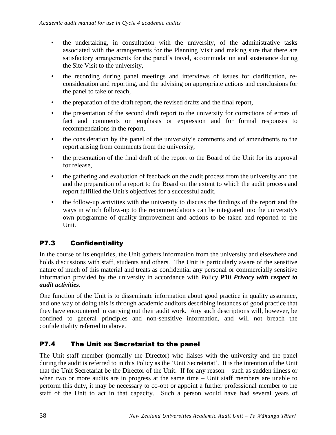- the undertaking, in consultation with the university, of the administrative tasks associated with the arrangements for the Planning Visit and making sure that there are satisfactory arrangements for the panel's travel, accommodation and sustenance during the Site Visit to the university,
- the recording during panel meetings and interviews of issues for clarification, reconsideration and reporting, and the advising on appropriate actions and conclusions for the panel to take or reach,
- the preparation of the draft report, the revised drafts and the final report,
- the presentation of the second draft report to the university for corrections of errors of fact and comments on emphasis or expression and for formal responses to recommendations in the report,
- the consideration by the panel of the university's comments and of amendments to the report arising from comments from the university,
- the presentation of the final draft of the report to the Board of the Unit for its approval for release,
- the gathering and evaluation of feedback on the audit process from the university and the and the preparation of a report to the Board on the extent to which the audit process and report fulfilled the Unit's objectives for a successful audit,
- the follow-up activities with the university to discuss the findings of the report and the ways in which follow-up to the recommendations can be integrated into the university's own programme of quality improvement and actions to be taken and reported to the Unit.

#### P7.3 Confidentiality

In the course of its enquiries, the Unit gathers information from the university and elsewhere and holds discussions with staff, students and others. The Unit is particularly aware of the sensitive nature of much of this material and treats as confidential any personal or commercially sensitive information provided by the university in accordance with Policy **P10** *Privacy with respect to audit activities.* 

One function of the Unit is to disseminate information about good practice in quality assurance, and one way of doing this is through academic auditors describing instances of good practice that they have encountered in carrying out their audit work. Any such descriptions will, however, be confined to general principles and non-sensitive information, and will not breach the confidentiality referred to above.

#### P7.4 The Unit as Secretariat to the panel

The Unit staff member (normally the Director) who liaises with the university and the panel during the audit is referred to in this Policy as the 'Unit Secretariat'. It is the intention of the Unit that the Unit Secretariat be the Director of the Unit. If for any reason – such as sudden illness or when two or more audits are in progress at the same time – Unit staff members are unable to perform this duty, it may be necessary to co-opt or appoint a further professional member to the staff of the Unit to act in that capacity. Such a person would have had several years of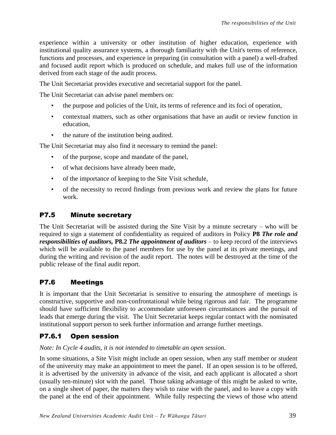experience within a university or other institution of higher education, experience with institutional quality assurance systems, a thorough familiarity with the Unit's terms of reference, functions and processes, and experience in preparing (in consultation with a panel) a well-drafted and focused audit report which is produced on schedule, and makes full use of the information derived from each stage of the audit process.

The Unit Secretariat provides executive and secretarial support for the panel.

The Unit Secretariat can advise panel members on:

- the purpose and policies of the Unit, its terms of reference and its foci of operation,
- contextual matters, such as other organisations that have an audit or review function in education,
- the nature of the institution being audited.

The Unit Secretariat may also find it necessary to remind the panel:

- of the purpose, scope and mandate of the panel,
- of what decisions have already been made,
- of the importance of keeping to the Site Visit schedule,
- of the necessity to record findings from previous work and review the plans for future work.

#### P7.5 Minute secretary

The Unit Secretariat will be assisted during the Site Visit by a minute secretary – who will be required to sign a statement of confidentiality as required of auditors in Policy **P8** *The role and responsibilities of auditors,* **P8.2** *The appointment of auditors* – to keep record of the interviews which will be available to the panel members for use by the panel at its private meetings, and during the writing and revision of the audit report. The notes will be destroyed at the time of the public release of the final audit report.

#### P7.6 Meetings

It is important that the Unit Secretariat is sensitive to ensuring the atmosphere of meetings is constructive, supportive and non-confrontational while being rigorous and fair. The programme should have sufficient flexibility to accommodate unforeseen circumstances and the pursuit of leads that emerge during the visit. The Unit Secretariat keeps regular contact with the nominated institutional support person to seek further information and arrange further meetings.

#### P7.6.1 Open session

#### *Note: In Cycle 4 audits, it is not intended to timetable an open session*.

In some situations, a Site Visit might include an open session, when any staff member or student of the university may make an appointment to meet the panel. If an open session is to be offered, it is advertised by the university in advance of the visit, and each applicant is allocated a short (usually ten-minute) slot with the panel. Those taking advantage of this might be asked to write, on a single sheet of paper, the matters they wish to raise with the panel, and to leave a copy with the panel at the end of their appointment. While fully respecting the views of those who attend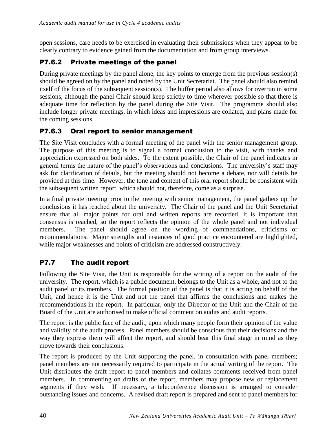open sessions, care needs to be exercised in evaluating their submissions when they appear to be clearly contrary to evidence gained from the documentation and from group interviews.

#### P7.6.2 Private meetings of the panel

During private meetings by the panel alone, the key points to emerge from the previous session(s) should be agreed on by the panel and noted by the Unit Secretariat. The panel should also remind itself of the focus of the subsequent session(s). The buffer period also allows for overrun in some sessions, although the panel Chair should keep strictly to time wherever possible so that there is adequate time for reflection by the panel during the Site Visit. The programme should also include longer private meetings, in which ideas and impressions are collated, and plans made for the coming sessions.

#### P7.6.3 Oral report to senior management

The Site Visit concludes with a formal meeting of the panel with the senior management group. The purpose of this meeting is to signal a formal conclusion to the visit, with thanks and appreciation expressed on both sides. To the extent possible, the Chair of the panel indicates in general terms the nature of the panel's observations and conclusions. The university's staff may ask for clarification of details, but the meeting should not become a debate, nor will details be provided at this time. However, the tone and content of this oral report should be consistent with the subsequent written report, which should not, therefore, come as a surprise.

In a final private meeting prior to the meeting with senior management, the panel gathers up the conclusions it has reached about the university. The Chair of the panel and the Unit Secretariat ensure that all major points for oral and written reports are recorded. It is important that consensus is reached, so the report reflects the opinion of the whole panel and not individual members. The panel should agree on the wording of commendations, criticisms or recommendations. Major strengths and instances of good practice encountered are highlighted, while major weaknesses and points of criticism are addressed constructively.

#### P7.7 The audit report

Following the Site Visit, the Unit is responsible for the writing of a report on the audit of the university. The report, which is a public document, belongs to the Unit as a whole, and not to the audit panel or its members. The formal position of the panel is that it is acting on behalf of the Unit, and hence it is the Unit and not the panel that affirms the conclusions and makes the recommendations in the report. In particular, only the Director of the Unit and the Chair of the Board of the Unit are authorised to make official comment on audits and audit reports.

The report is the public face of the audit, upon which many people form their opinion of the value and validity of the audit process. Panel members should be conscious that their decisions and the way they express them will affect the report, and should bear this final stage in mind as they move towards their conclusions.

The report is produced by the Unit supporting the panel, in consultation with panel members; panel members are not necessarily required to participate in the actual writing of the report. The Unit distributes the draft report to panel members and collates comments received from panel members. In commenting on drafts of the report, members may propose new or replacement segments if they wish. If necessary, a teleconference discussion is arranged to consider outstanding issues and concerns. A revised draft report is prepared and sent to panel members for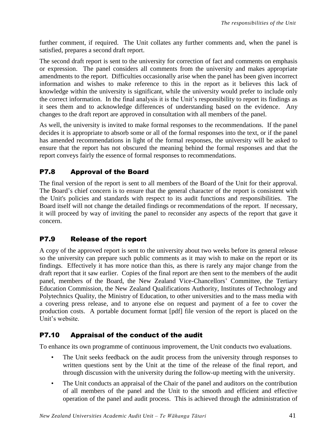further comment, if required. The Unit collates any further comments and, when the panel is satisfied, prepares a second draft report.

The second draft report is sent to the university for correction of fact and comments on emphasis or expression. The panel considers all comments from the university and makes appropriate amendments to the report. Difficulties occasionally arise when the panel has been given incorrect information and wishes to make reference to this in the report as it believes this lack of knowledge within the university is significant, while the university would prefer to include only the correct information. In the final analysis it is the Unit's responsibility to report its findings as it sees them and to acknowledge differences of understanding based on the evidence. Any changes to the draft report are approved in consultation with all members of the panel.

As well, the university is invited to make formal responses to the recommendations. If the panel decides it is appropriate to absorb some or all of the formal responses into the text, or if the panel has amended recommendations in light of the formal responses, the university will be asked to ensure that the report has not obscured the meaning behind the formal responses and that the report conveys fairly the essence of formal responses to recommendations.

#### P7.8 Approval of the Board

The final version of the report is sent to all members of the Board of the Unit for their approval. The Board's chief concern is to ensure that the general character of the report is consistent with the Unit's policies and standards with respect to its audit functions and responsibilities. The Board itself will not change the detailed findings or recommendations of the report. If necessary, it will proceed by way of inviting the panel to reconsider any aspects of the report that gave it concern.

#### P7.9 Release of the report

A copy of the approved report is sent to the university about two weeks before its general release so the university can prepare such public comments as it may wish to make on the report or its findings. Effectively it has more notice than this, as there is rarely any major change from the draft report that it saw earlier. Copies of the final report are then sent to the members of the audit panel, members of the Board, the New Zealand Vice-Chancellors' Committee, the Tertiary Education Commission, the New Zealand Qualifications Authority, Institutes of Technology and Polytechnics Quality, the Ministry of Education, to other universities and to the mass media with a covering press release, and to anyone else on request and payment of a fee to cover the production costs. A portable document format [pdf] file version of the report is placed on the Unit's website.

#### P7.10 Appraisal of the conduct of the audit

To enhance its own programme of continuous improvement, the Unit conducts two evaluations.

- The Unit seeks feedback on the audit process from the university through responses to written questions sent by the Unit at the time of the release of the final report, and through discussion with the university during the follow-up meeting with the university.
- The Unit conducts an appraisal of the Chair of the panel and auditors on the contribution of all members of the panel and the Unit to the smooth and efficient and effective operation of the panel and audit process. This is achieved through the administration of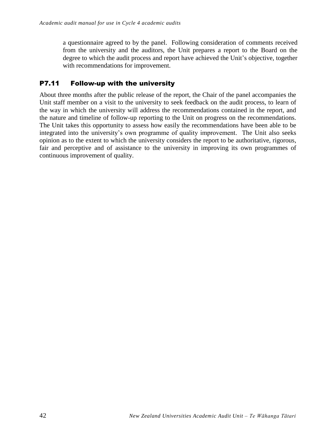a questionnaire agreed to by the panel. Following consideration of comments received from the university and the auditors, the Unit prepares a report to the Board on the degree to which the audit process and report have achieved the Unit's objective, together with recommendations for improvement.

#### P7.11 Follow-up with the university

About three months after the public release of the report, the Chair of the panel accompanies the Unit staff member on a visit to the university to seek feedback on the audit process, to learn of the way in which the university will address the recommendations contained in the report, and the nature and timeline of follow-up reporting to the Unit on progress on the recommendations. The Unit takes this opportunity to assess how easily the recommendations have been able to be integrated into the university's own programme of quality improvement. The Unit also seeks opinion as to the extent to which the university considers the report to be authoritative, rigorous, fair and perceptive and of assistance to the university in improving its own programmes of continuous improvement of quality.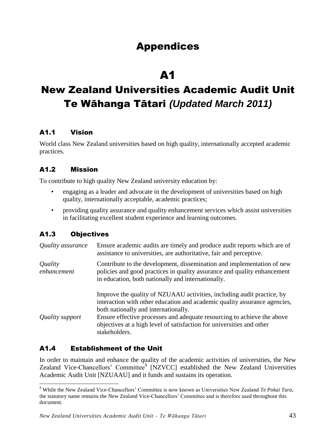## Appendices

## A1

## New Zealand Universities Academic Audit Unit Te Wāhanga Tātari *(Updated March 2011)*

#### A1.1 Vision

World class New Zealand universities based on high quality, internationally accepted academic practices.

#### A1.2 Mission

To contribute to high quality New Zealand university education by:

- engaging as a leader and advocate in the development of universities based on high quality, internationally acceptable, academic practices;
- providing quality assurance and quality enhancement services which assist universities in facilitating excellent student experience and learning outcomes.

#### A1.3 Objectives

 $\overline{a}$ 

| Quality assurance      | Ensure academic audits are timely and produce audit reports which are of<br>assistance to universities, are authoritative, fair and perceptive.                                                          |
|------------------------|----------------------------------------------------------------------------------------------------------------------------------------------------------------------------------------------------------|
| Quality<br>enhancement | Contribute to the development, dissemination and implementation of new<br>policies and good practices in quality assurance and quality enhancement<br>in education, both nationally and internationally. |
|                        | Improve the quality of NZUAAU activities, including audit practice, by<br>interaction with other education and academic quality assurance agencies,<br>both nationally and internationally.              |
| Quality support        | Ensure effective processes and adequate resourcing to achieve the above<br>objectives at a high level of satisfaction for universities and other<br>stakeholders.                                        |

#### A1.4 Establishment of the Unit

In order to maintain and enhance the quality of the academic activities of universities, the New Zealand Vice-Chancellors' Committee<sup>9</sup> [NZVCC] established the New Zealand Universities Academic Audit Unit [NZUAAU] and it funds and sustains its operation.

<sup>9</sup> While the New Zealand Vice-Chancellors' Committee is now known as Universities New Zealand *Te Pokai Tara*, the statutory name remains the New Zealand Vice-Chancellors' Committee and is therefore used throughout this document.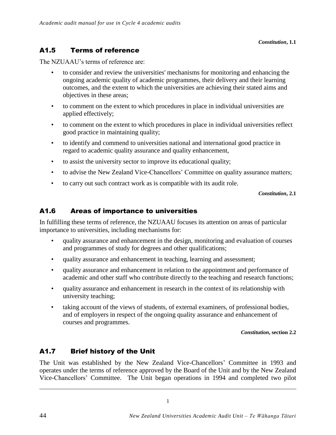#### A1.5 Terms of reference

The NZUAAU's terms of reference are:

- to consider and review the universities' mechanisms for monitoring and enhancing the ongoing academic quality of academic programmes, their delivery and their learning outcomes, and the extent to which the universities are achieving their stated aims and objectives in these areas;
- to comment on the extent to which procedures in place in individual universities are applied effectively;
- to comment on the extent to which procedures in place in individual universities reflect good practice in maintaining quality;
- to identify and commend to universities national and international good practice in regard to academic quality assurance and quality enhancement,
- to assist the university sector to improve its educational quality;
- to advise the New Zealand Vice-Chancellors' Committee on quality assurance matters;
- to carry out such contract work as is compatible with its audit role.

#### *Constitution***, 2.1**

#### A1.6 Areas of importance to universities

In fulfilling these terms of reference, the NZUAAU focuses its attention on areas of particular importance to universities, including mechanisms for:

- quality assurance and enhancement in the design, monitoring and evaluation of courses and programmes of study for degrees and other qualifications;
- quality assurance and enhancement in teaching, learning and assessment;
- quality assurance and enhancement in relation to the appointment and performance of academic and other staff who contribute directly to the teaching and research functions;
- quality assurance and enhancement in research in the context of its relationship with university teaching;
- taking account of the views of students, of external examiners, of professional bodies, and of employers in respect of the ongoing quality assurance and enhancement of courses and programmes.

*Constitution***, section 2.2**

#### A1.7 Brief history of the Unit

The Unit was established by the New Zealand Vice-Chancellors' Committee in 1993 and operates under the terms of reference approved by the Board of the Unit and by the New Zealand Vice-Chancellors' Committee. The Unit began operations in 1994 and completed two pilot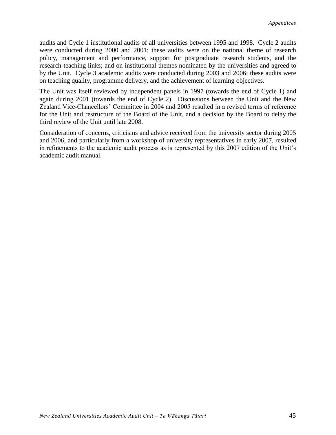audits and Cycle 1 institutional audits of all universities between 1995 and 1998. Cycle 2 audits were conducted during 2000 and 2001; these audits were on the national theme of research policy, management and performance, support for postgraduate research students, and the research-teaching links; and on institutional themes nominated by the universities and agreed to by the Unit. Cycle 3 academic audits were conducted during 2003 and 2006; these audits were on teaching quality, programme delivery, and the achievement of learning objectives.

The Unit was itself reviewed by independent panels in 1997 (towards the end of Cycle 1) and again during 2001 (towards the end of Cycle 2). Discussions between the Unit and the New Zealand Vice-Chancellors' Committee in 2004 and 2005 resulted in a revised terms of reference for the Unit and restructure of the Board of the Unit, and a decision by the Board to delay the third review of the Unit until late 2008.

Consideration of concerns, criticisms and advice received from the university sector during 2005 and 2006, and particularly from a workshop of university representatives in early 2007, resulted in refinements to the academic audit process as is represented by this 2007 edition of the Unit's academic audit manual.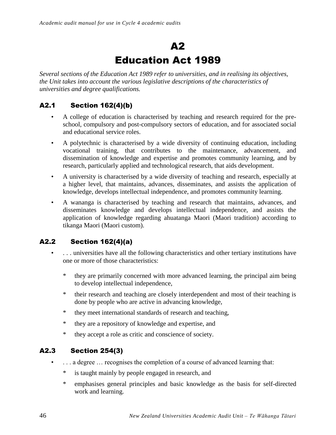## A2 Education Act 1989

*Several sections of the Education Act 1989 refer to universities, and in realising its objectives, the Unit takes into account the various legislative descriptions of the characteristics of universities and degree qualifications.*

#### A2.1 Section 162(4)(b)

- A college of education is characterised by teaching and research required for the preschool, compulsory and post-compulsory sectors of education, and for associated social and educational service roles.
- A polytechnic is characterised by a wide diversity of continuing education, including vocational training, that contributes to the maintenance, advancement, and dissemination of knowledge and expertise and promotes community learning, and by research, particularly applied and technological research, that aids development.
- A university is characterised by a wide diversity of teaching and research, especially at a higher level, that maintains, advances, disseminates, and assists the application of knowledge, develops intellectual independence, and promotes community learning.
- A wananga is characterised by teaching and research that maintains, advances, and disseminates knowledge and develops intellectual independence, and assists the application of knowledge regarding ahuatanga Maori (Maori tradition) according to tikanga Maori (Maori custom).

#### A2.2 Section 162(4)(a)

- ... universities have all the following characteristics and other tertiary institutions have one or more of those characteristics:
	- \* they are primarily concerned with more advanced learning, the principal aim being to develop intellectual independence,
	- \* their research and teaching are closely interdependent and most of their teaching is done by people who are active in advancing knowledge,
	- \* they meet international standards of research and teaching,
	- \* they are a repository of knowledge and expertise, and
	- \* they accept a role as critic and conscience of society.

#### A2.3 Section 254(3)

- ... a degree ... recognises the completion of a course of advanced learning that:
	- \* is taught mainly by people engaged in research, and
	- \* emphasises general principles and basic knowledge as the basis for self-directed work and learning.